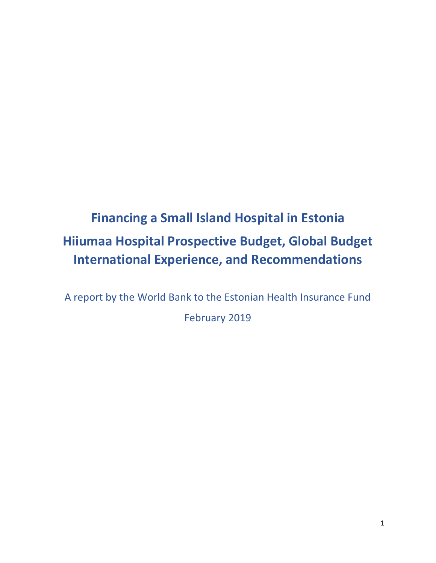# **Financing a Small Island Hospital in Estonia Hiiumaa Hospital Prospective Budget, Global Budget International Experience, and Recommendations**

A report by the World Bank to the Estonian Health Insurance Fund February 2019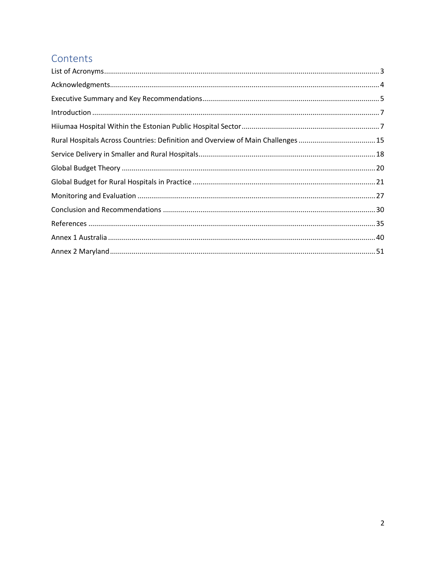## Contents

| Rural Hospitals Across Countries: Definition and Overview of Main Challenges  15 |  |
|----------------------------------------------------------------------------------|--|
|                                                                                  |  |
|                                                                                  |  |
|                                                                                  |  |
|                                                                                  |  |
|                                                                                  |  |
|                                                                                  |  |
|                                                                                  |  |
|                                                                                  |  |
|                                                                                  |  |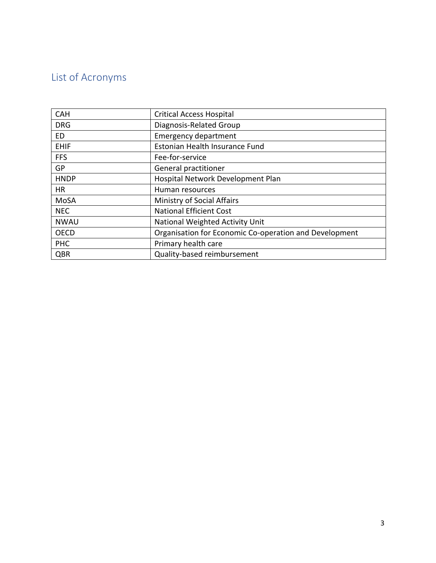# <span id="page-2-0"></span>List of Acronyms

| <b>CAH</b>  | <b>Critical Access Hospital</b>                        |
|-------------|--------------------------------------------------------|
| <b>DRG</b>  | Diagnosis-Related Group                                |
| ED          | <b>Emergency department</b>                            |
| <b>EHIF</b> | Estonian Health Insurance Fund                         |
| <b>FFS</b>  | Fee-for-service                                        |
| <b>GP</b>   | General practitioner                                   |
| <b>HNDP</b> | Hospital Network Development Plan                      |
| <b>HR</b>   | Human resources                                        |
| MoSA        | <b>Ministry of Social Affairs</b>                      |
| <b>NEC</b>  | <b>National Efficient Cost</b>                         |
| <b>NWAU</b> | National Weighted Activity Unit                        |
| <b>OECD</b> | Organisation for Economic Co-operation and Development |
| <b>PHC</b>  | Primary health care                                    |
| QBR         | Quality-based reimbursement                            |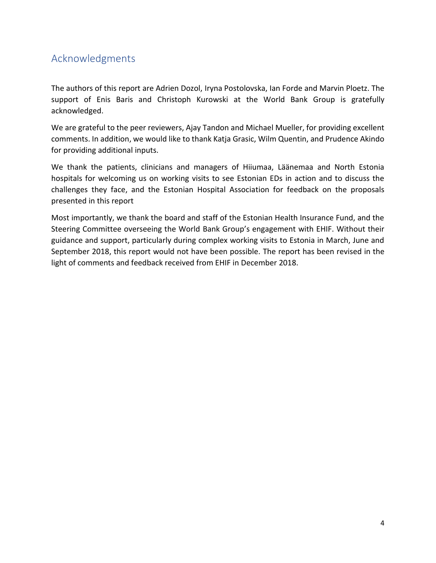### <span id="page-3-0"></span>Acknowledgments

The authors of this report are Adrien Dozol, Iryna Postolovska, Ian Forde and Marvin Ploetz. The support of Enis Baris and Christoph Kurowski at the World Bank Group is gratefully acknowledged.

We are grateful to the peer reviewers, Ajay Tandon and Michael Mueller, for providing excellent comments. In addition, we would like to thank Katja Grasic, Wilm Quentin, and Prudence Akindo for providing additional inputs.

We thank the patients, clinicians and managers of Hiiumaa, Läänemaa and North Estonia hospitals for welcoming us on working visits to see Estonian EDs in action and to discuss the challenges they face, and the Estonian Hospital Association for feedback on the proposals presented in this report

Most importantly, we thank the board and staff of the Estonian Health Insurance Fund, and the Steering Committee overseeing the World Bank Group's engagement with EHIF. Without their guidance and support, particularly during complex working visits to Estonia in March, June and September 2018, this report would not have been possible. The report has been revised in the light of comments and feedback received from EHIF in December 2018.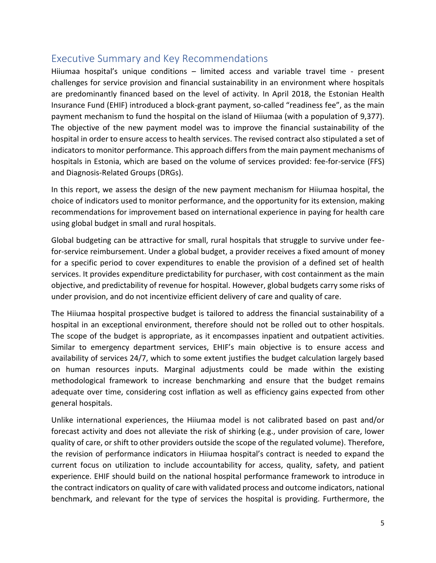### <span id="page-4-0"></span>Executive Summary and Key Recommendations

Hiiumaa hospital's unique conditions – limited access and variable travel time - present challenges for service provision and financial sustainability in an environment where hospitals are predominantly financed based on the level of activity. In April 2018, the Estonian Health Insurance Fund (EHIF) introduced a block-grant payment, so-called "readiness fee", as the main payment mechanism to fund the hospital on the island of Hiiumaa (with a population of 9,377). The objective of the new payment model was to improve the financial sustainability of the hospital in order to ensure access to health services. The revised contract also stipulated a set of indicators to monitor performance. This approach differs from the main payment mechanisms of hospitals in Estonia, which are based on the volume of services provided: fee-for-service (FFS) and Diagnosis-Related Groups (DRGs).

In this report, we assess the design of the new payment mechanism for Hiiumaa hospital, the choice of indicators used to monitor performance, and the opportunity for its extension, making recommendations for improvement based on international experience in paying for health care using global budget in small and rural hospitals.

Global budgeting can be attractive for small, rural hospitals that struggle to survive under feefor-service reimbursement. Under a global budget, a provider receives a fixed amount of money for a specific period to cover expenditures to enable the provision of a defined set of health services. It provides expenditure predictability for purchaser, with cost containment as the main objective, and predictability of revenue for hospital. However, global budgets carry some risks of under provision, and do not incentivize efficient delivery of care and quality of care.

The Hiiumaa hospital prospective budget is tailored to address the financial sustainability of a hospital in an exceptional environment, therefore should not be rolled out to other hospitals. The scope of the budget is appropriate, as it encompasses inpatient and outpatient activities. Similar to emergency department services, EHIF's main objective is to ensure access and availability of services 24/7, which to some extent justifies the budget calculation largely based on human resources inputs. Marginal adjustments could be made within the existing methodological framework to increase benchmarking and ensure that the budget remains adequate over time, considering cost inflation as well as efficiency gains expected from other general hospitals.

Unlike international experiences, the Hiiumaa model is not calibrated based on past and/or forecast activity and does not alleviate the risk of shirking (e.g., under provision of care, lower quality of care, or shift to other providers outside the scope of the regulated volume). Therefore, the revision of performance indicators in Hiiumaa hospital's contract is needed to expand the current focus on utilization to include accountability for access, quality, safety, and patient experience. EHIF should build on the national hospital performance framework to introduce in the contract indicators on quality of care with validated process and outcome indicators, national benchmark, and relevant for the type of services the hospital is providing. Furthermore, the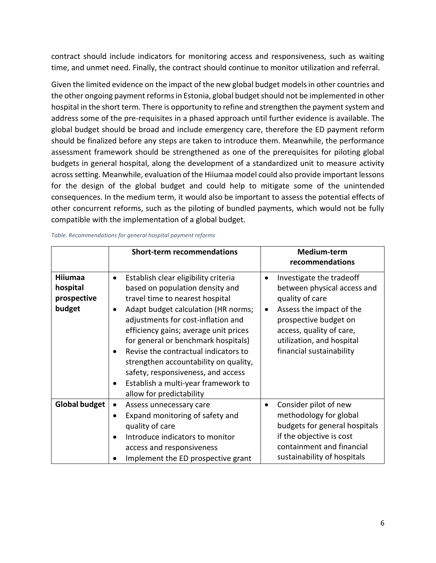contract should include indicators for monitoring access and responsiveness, such as waiting time, and unmet need. Finally, the contract should continue to monitor utilization and referral.

Given the limited evidence on the impact of the new global budget models in other countries and the other ongoing payment reforms in Estonia, global budget should not be implemented in other hospital in the short term. There is opportunity to refine and strengthen the payment system and address some of the pre-requisites in a phased approach until further evidence is available. The global budget should be broad and include emergency care, therefore the ED payment reform should be finalized before any steps are taken to introduce them. Meanwhile, the performance assessment framework should be strengthened as one of the prerequisites for piloting global budgets in general hospital, along the development of a standardized unit to measure activity across setting. Meanwhile, evaluation of the Hiiumaa model could also provide important lessons for the design of the global budget and could help to mitigate some of the unintended consequences. In the medium term, it would also be important to assess the potential effects of other concurrent reforms, such as the piloting of bundled payments, which would not be fully compatible with the implementation of a global budget.

|                                              | <b>Short-term recommendations</b>                                                                                                                                                                                                                                                                                                                                                                                                                                                                        | Medium-term<br>recommendations                                                                                                                                                                                       |
|----------------------------------------------|----------------------------------------------------------------------------------------------------------------------------------------------------------------------------------------------------------------------------------------------------------------------------------------------------------------------------------------------------------------------------------------------------------------------------------------------------------------------------------------------------------|----------------------------------------------------------------------------------------------------------------------------------------------------------------------------------------------------------------------|
| Hiiumaa<br>hospital<br>prospective<br>budget | Establish clear eligibility criteria<br>$\bullet$<br>based on population density and<br>travel time to nearest hospital<br>Adapt budget calculation (HR norms;<br>$\bullet$<br>adjustments for cost-inflation and<br>efficiency gains; average unit prices<br>for general or benchmark hospitals)<br>Revise the contractual indicators to<br>strengthen accountability on quality,<br>safety, responsiveness, and access<br>Establish a multi-year framework to<br>$\bullet$<br>allow for predictability | Investigate the tradeoff<br>between physical access and<br>quality of care<br>Assess the impact of the<br>prospective budget on<br>access, quality of care,<br>utilization, and hospital<br>financial sustainability |
| <b>Global budget</b>                         | Assess unnecessary care<br>Expand monitoring of safety and<br>٠<br>quality of care<br>Introduce indicators to monitor<br>$\bullet$<br>access and responsiveness<br>Implement the ED prospective grant                                                                                                                                                                                                                                                                                                    | Consider pilot of new<br>methodology for global<br>budgets for general hospitals<br>if the objective is cost<br>containment and financial<br>sustainability of hospitals                                             |

| Table. Recommendations for general hospital payment reforms |  |  |  |  |
|-------------------------------------------------------------|--|--|--|--|
|-------------------------------------------------------------|--|--|--|--|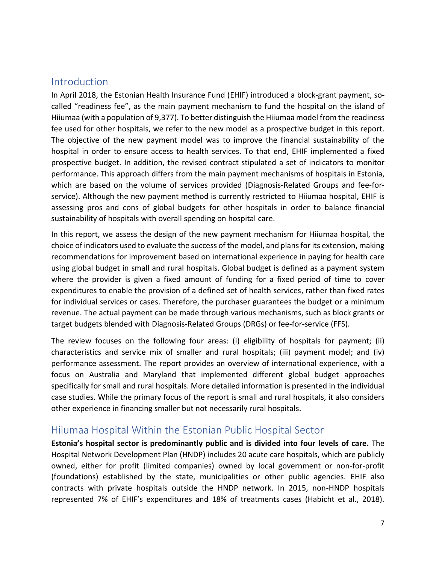#### <span id="page-6-0"></span>Introduction

In April 2018, the Estonian Health Insurance Fund (EHIF) introduced a block-grant payment, socalled "readiness fee", as the main payment mechanism to fund the hospital on the island of Hiiumaa (with a population of 9,377). To better distinguish the Hiiumaa model from the readiness fee used for other hospitals, we refer to the new model as a prospective budget in this report. The objective of the new payment model was to improve the financial sustainability of the hospital in order to ensure access to health services. To that end, EHIF implemented a fixed prospective budget. In addition, the revised contract stipulated a set of indicators to monitor performance. This approach differs from the main payment mechanisms of hospitals in Estonia, which are based on the volume of services provided (Diagnosis-Related Groups and fee-forservice). Although the new payment method is currently restricted to Hiiumaa hospital, EHIF is assessing pros and cons of global budgets for other hospitals in order to balance financial sustainability of hospitals with overall spending on hospital care.

In this report, we assess the design of the new payment mechanism for Hiiumaa hospital, the choice of indicators used to evaluate the success of the model, and plans for its extension, making recommendations for improvement based on international experience in paying for health care using global budget in small and rural hospitals. Global budget is defined as a payment system where the provider is given a fixed amount of funding for a fixed period of time to cover expenditures to enable the provision of a defined set of health services, rather than fixed rates for individual services or cases. Therefore, the purchaser guarantees the budget or a minimum revenue. The actual payment can be made through various mechanisms, such as block grants or target budgets blended with Diagnosis-Related Groups (DRGs) or fee-for-service (FFS).

The review focuses on the following four areas: (i) eligibility of hospitals for payment; (ii) characteristics and service mix of smaller and rural hospitals; (iii) payment model; and (iv) performance assessment. The report provides an overview of international experience, with a focus on Australia and Maryland that implemented different global budget approaches specifically for small and rural hospitals. More detailed information is presented in the individual case studies. While the primary focus of the report is small and rural hospitals, it also considers other experience in financing smaller but not necessarily rural hospitals.

#### <span id="page-6-1"></span>Hiiumaa Hospital Within the Estonian Public Hospital Sector

**Estonia's hospital sector is predominantly public and is divided into four levels of care.** The Hospital Network Development Plan (HNDP) includes 20 acute care hospitals, which are publicly owned, either for profit (limited companies) owned by local government or non-for-profit (foundations) established by the state, municipalities or other public agencies. EHIF also contracts with private hospitals outside the HNDP network. In 2015, non-HNDP hospitals represented 7% of EHIF's expenditures and 18% of treatments cases (Habicht et al., 2018).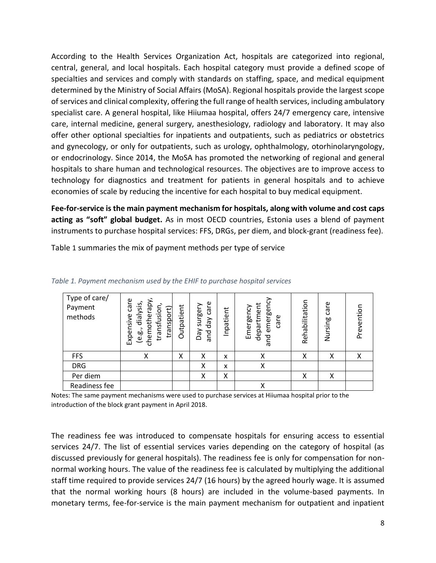According to the Health Services Organization Act, hospitals are categorized into regional, central, general, and local hospitals. Each hospital category must provide a defined scope of specialties and services and comply with standards on staffing, space, and medical equipment determined by the Ministry of Social Affairs (MoSA). Regional hospitals provide the largest scope of services and clinical complexity, offering the full range of health services, including ambulatory specialist care. A general hospital, like Hiiumaa hospital, offers 24/7 emergency care, intensive care, internal medicine, general surgery, anesthesiology, radiology and laboratory. It may also offer other optional specialties for inpatients and outpatients, such as pediatrics or obstetrics and gynecology, or only for outpatients, such as urology, ophthalmology, otorhinolaryngology, or endocrinology. Since 2014, the MoSA has promoted the networking of regional and general hospitals to share human and technological resources. The objectives are to improve access to technology for diagnostics and treatment for patients in general hospitals and to achieve economies of scale by reducing the incentive for each hospital to buy medical equipment.

**Fee-for-service is the main payment mechanism for hospitals, along with volume and cost caps acting as "soft" global budget.** As in most OECD countries, Estonia uses a blend of payment instruments to purchase hospital services: FFS, DRGs, per diem, and block-grant (readiness fee).

| Type of care/<br>Payment<br>methods | care<br>chemotherapy,<br>dialysis,<br>transfusion,<br>transport<br>Expensive<br>e.g., | Outpatient | care<br>surgery<br>day<br>VeQ<br>pue | Inpatient | emergenc<br>department<br>Emergency<br>care<br>pue | Rehabilitation | Nursing care | Prevention |
|-------------------------------------|---------------------------------------------------------------------------------------|------------|--------------------------------------|-----------|----------------------------------------------------|----------------|--------------|------------|
| <b>FFS</b>                          | X                                                                                     | Χ          | Χ                                    | X         | Χ                                                  | Χ              | Χ            | Χ          |
| <b>DRG</b>                          |                                                                                       |            | Χ                                    | X         | Χ                                                  |                |              |            |
| Per diem                            |                                                                                       |            | Χ                                    | Χ         |                                                    | Χ              | Χ            |            |
| Readiness fee                       |                                                                                       |            |                                      |           | Χ                                                  |                |              |            |

<span id="page-7-0"></span>[Table](#page-7-0) 1 summaries the mix of payment methods per type of service

*Table 1. Payment mechanism used by the EHIF to purchase hospital services* 

Notes: The same payment mechanisms were used to purchase services at Hiiumaa hospital prior to the introduction of the block grant payment in April 2018.

The readiness fee was introduced to compensate hospitals for ensuring access to essential services 24/7. The list of essential services varies depending on the category of hospital (as discussed previously for general hospitals). The readiness fee is only for compensation for nonnormal working hours. The value of the readiness fee is calculated by multiplying the additional staff time required to provide services 24/7 (16 hours) by the agreed hourly wage. It is assumed that the normal working hours (8 hours) are included in the volume-based payments. In monetary terms, fee-for-service is the main payment mechanism for outpatient and inpatient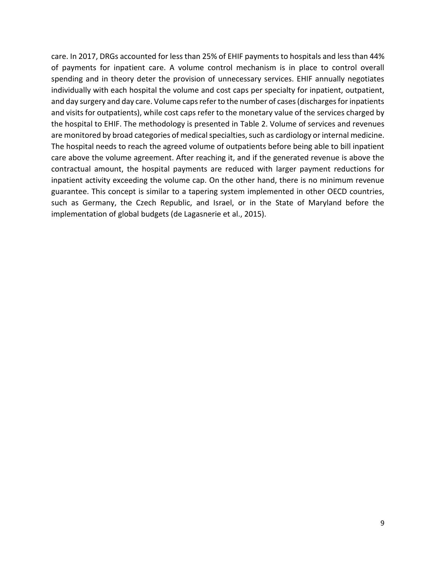care. In 2017, DRGs accounted for less than 25% of EHIF payments to hospitals and less than 44% of payments for inpatient care. A volume control mechanism is in place to control overall spending and in theory deter the provision of unnecessary services. EHIF annually negotiates individually with each hospital the volume and cost caps per specialty for inpatient, outpatient, and day surgery and day care. Volume caps refer to the number of cases (discharges for inpatients and visits for outpatients), while cost caps refer to the monetary value of the services charged by the hospital to EHIF. The methodology is presented in [Table 2.](#page-9-0) Volume of services and revenues are monitored by broad categories of medical specialties, such as cardiology or internal medicine. The hospital needs to reach the agreed volume of outpatients before being able to bill inpatient care above the volume agreement. After reaching it, and if the generated revenue is above the contractual amount, the hospital payments are reduced with larger payment reductions for inpatient activity exceeding the volume cap. On the other hand, there is no minimum revenue guarantee. This concept is similar to a tapering system implemented in other OECD countries, such as Germany, the Czech Republic, and Israel, or in the State of Maryland before the implementation of global budgets (de Lagasnerie et al., 2015).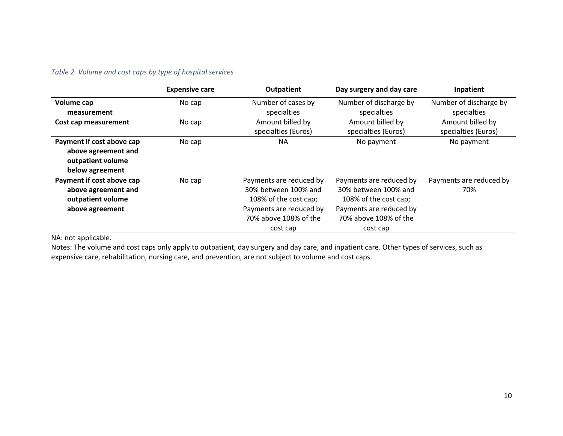#### *Table 2. Volume and cost caps by type of hospital services*

|                                                                                          | <b>Expensive care</b> | <b>Outpatient</b>                                                                                                                        | Day surgery and day care                                                                                                                 | Inpatient                               |
|------------------------------------------------------------------------------------------|-----------------------|------------------------------------------------------------------------------------------------------------------------------------------|------------------------------------------------------------------------------------------------------------------------------------------|-----------------------------------------|
| Volume cap<br>measurement                                                                | No cap                | Number of cases by<br>specialties                                                                                                        | Number of discharge by<br>specialties                                                                                                    | Number of discharge by<br>specialties   |
| Cost cap measurement                                                                     | No cap                | Amount billed by<br>specialties (Euros)                                                                                                  | Amount billed by<br>specialties (Euros)                                                                                                  | Amount billed by<br>specialties (Euros) |
| Payment if cost above cap<br>above agreement and<br>outpatient volume<br>below agreement | No cap                | ΝA                                                                                                                                       | No payment                                                                                                                               | No payment                              |
| Payment if cost above cap<br>above agreement and<br>outpatient volume<br>above agreement | No cap                | Payments are reduced by<br>30% between 100% and<br>108% of the cost cap;<br>Payments are reduced by<br>70% above 108% of the<br>cost cap | Payments are reduced by<br>30% between 100% and<br>108% of the cost cap;<br>Payments are reduced by<br>70% above 108% of the<br>cost cap | Payments are reduced by<br>70%          |

<span id="page-9-0"></span>NA: not applicable.

Notes: The volume and cost caps only apply to outpatient, day surgery and day care, and inpatient care. Other types of services, such as expensive care, rehabilitation, nursing care, and prevention, are not subject to volume and cost caps.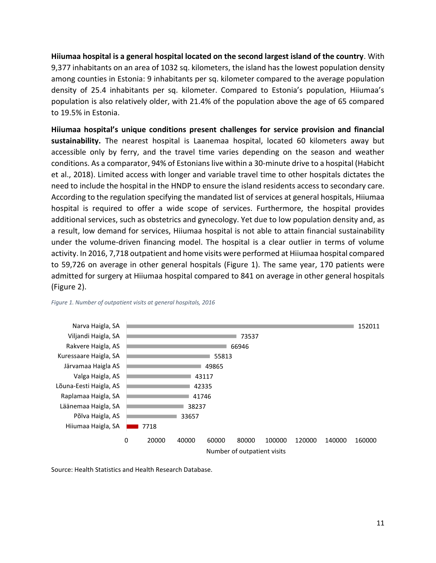**Hiiumaa hospital is a general hospital located on the second largest island of the country**. With 9,377 inhabitants on an area of 1032 sq. kilometers, the island has the lowest population density among counties in Estonia: 9 inhabitants per sq. kilometer compared to the average population density of 25.4 inhabitants per sq. kilometer. Compared to Estonia's population, Hiiumaa's population is also relatively older, with 21.4% of the population above the age of 65 compared to 19.5% in Estonia.

**Hiiumaa hospital's unique conditions present challenges for service provision and financial sustainability.** The nearest hospital is Laanemaa hospital, located 60 kilometers away but accessible only by ferry, and the travel time varies depending on the season and weather conditions. As a comparator, 94% of Estonians live within a 30-minute drive to a hospital (Habicht et al., 2018). Limited access with longer and variable travel time to other hospitals dictates the need to include the hospital in the HNDP to ensure the island residents access to secondary care. According to the regulation specifying the mandated list of services at general hospitals, Hiiumaa hospital is required to offer a wide scope of services. Furthermore, the hospital provides additional services, such as obstetrics and gynecology. Yet due to low population density and, as a result, low demand for services, Hiiumaa hospital is not able to attain financial sustainability under the volume-driven financing model. The hospital is a clear outlier in terms of volume activity. In 2016, 7,718 outpatient and home visits were performed at Hiiumaa hospital compared to 59,726 on average in other general hospitals [\(Figure 1\)](#page-10-0). The same year, 170 patients were admitted for surgery at Hiiumaa hospital compared to 841 on average in other general hospitals [\(Figure 2\)](#page-11-0).



#### <span id="page-10-0"></span>*Figure 1. Number of outpatient visits at general hospitals, 2016*

Source: Health Statistics and Health Research Database.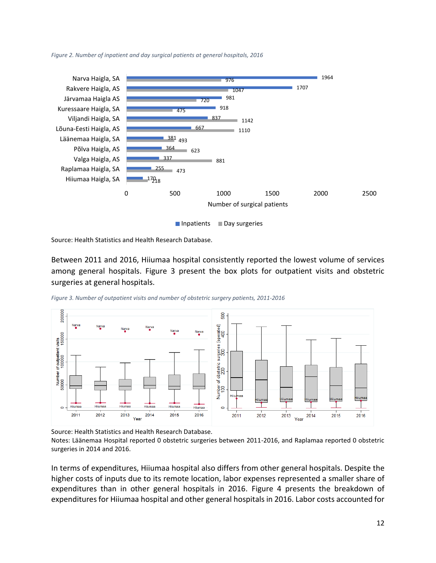<span id="page-11-0"></span>*Figure 2. Number of inpatient and day surgical patients at general hospitals, 2016*



Source: Health Statistics and Health Research Database.

Between 2011 and 2016, Hiiumaa hospital consistently reported the lowest volume of services among general hospitals. [Figure 3](#page-11-1) present the box plots for outpatient visits and obstetric surgeries at general hospitals.

<span id="page-11-1"></span>*Figure 3. Number of outpatient visits and number of obstetric surgery patients, 2011-2016*



Source: Health Statistics and Health Research Database.

Notes: Läänemaa Hospital reported 0 obstetric surgeries between 2011-2016, and Raplamaa reported 0 obstetric surgeries in 2014 and 2016.

In terms of expenditures, Hiiumaa hospital also differs from other general hospitals. Despite the higher costs of inputs due to its remote location, labor expenses represented a smaller share of expenditures than in other general hospitals in 2016. [Figure 4](#page-12-0) presents the breakdown of expenditures for Hiiumaa hospital and other general hospitals in 2016. Labor costs accounted for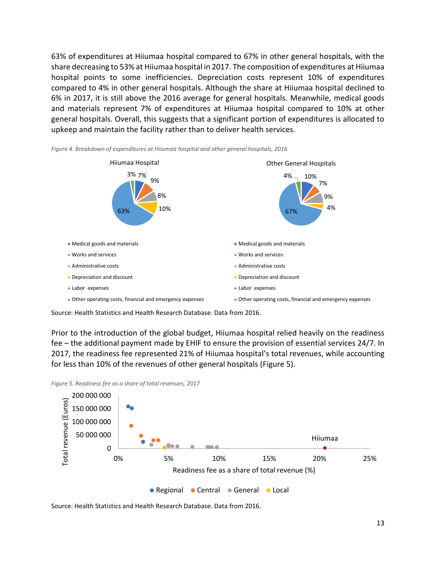63% of expenditures at Hiiumaa hospital compared to 67% in other general hospitals, with the share decreasing to 53% at Hiiumaa hospital in 2017. The composition of expenditures at Hiiumaa hospital points to some inefficiencies. Depreciation costs represent 10% of expenditures compared to 4% in other general hospitals. Although the share at Hiiumaa hospital declined to 6% in 2017, it is still above the 2016 average for general hospitals. Meanwhile, medical goods and materials represent 7% of expenditures at Hiiumaa hospital compared to 10% at other general hospitals. Overall, this suggests that a significant portion of expenditures is allocated to upkeep and maintain the facility rather than to deliver health services.



<span id="page-12-0"></span>*Figure 4. Breakdown of expenditures at Hiiumaa hospital and other general hospitals, 2016*

Source: Health Statistics and Health Research Database. Data from 2016.

Prior to the introduction of the global budget, Hiiumaa hospital relied heavily on the readiness fee – the additional payment made by EHIF to ensure the provision of essential services 24/7. In 2017, the readiness fee represented 21% of Hiiumaa hospital's total revenues, while accounting for less than 10% of the revenues of other general hospitals [\(Figure 5\)](#page-12-1).



<span id="page-12-1"></span>*Figure 5. Readiness fee as a share of total revenues, 2017*

Source: Health Statistics and Health Research Database. Data from 2016.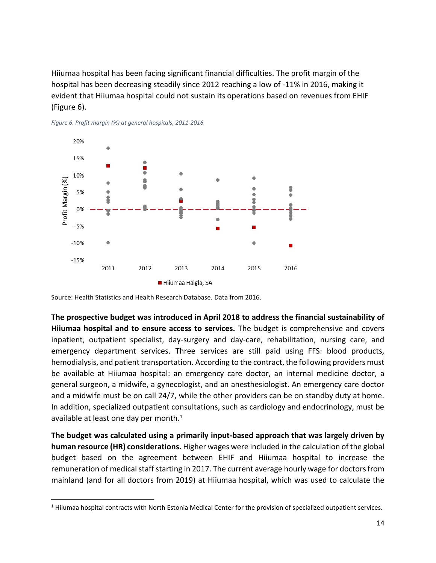Hiiumaa hospital has been facing significant financial difficulties. The profit margin of the hospital has been decreasing steadily since 2012 reaching a low of -11% in 2016, making it evident that Hiiumaa hospital could not sustain its operations based on revenues from EHIF [\(Figure 6\)](#page-13-0).



<span id="page-13-0"></span>

Source: Health Statistics and Health Research Database. Data from 2016.

 $\overline{\phantom{a}}$ 

**The prospective budget was introduced in April 2018 to address the financial sustainability of Hiiumaa hospital and to ensure access to services.** The budget is comprehensive and covers inpatient, outpatient specialist, day-surgery and day-care, rehabilitation, nursing care, and emergency department services. Three services are still paid using FFS: blood products, hemodialysis, and patient transportation. According to the contract, the following providers must be available at Hiiumaa hospital: an emergency care doctor, an internal medicine doctor, a general surgeon, a midwife, a gynecologist, and an anesthesiologist. An emergency care doctor and a midwife must be on call 24/7, while the other providers can be on standby duty at home. In addition, specialized outpatient consultations, such as cardiology and endocrinology, must be available at least one day per month.<sup>1</sup>

**The budget was calculated using a primarily input-based approach that was largely driven by human resource (HR) considerations.** Higher wages were included in the calculation of the global budget based on the agreement between EHIF and Hiiumaa hospital to increase the remuneration of medical staff starting in 2017. The current average hourly wage for doctors from mainland (and for all doctors from 2019) at Hiiumaa hospital, which was used to calculate the

<sup>1</sup> Hiiumaa hospital contracts with North Estonia Medical Center for the provision of specialized outpatient services.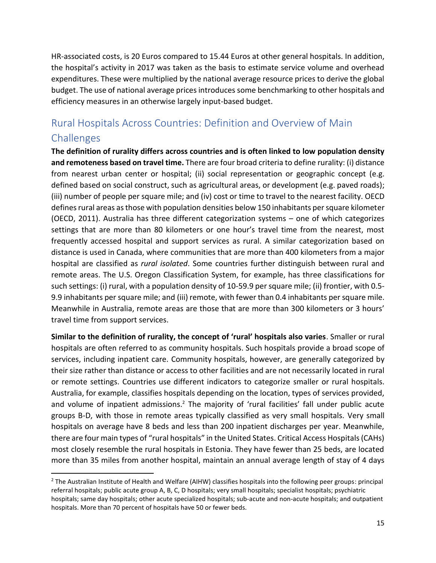HR-associated costs, is 20 Euros compared to 15.44 Euros at other general hospitals. In addition, the hospital's activity in 2017 was taken as the basis to estimate service volume and overhead expenditures. These were multiplied by the national average resource prices to derive the global budget. The use of national average prices introduces some benchmarking to other hospitals and efficiency measures in an otherwise largely input-based budget.

# <span id="page-14-0"></span>Rural Hospitals Across Countries: Definition and Overview of Main **Challenges**

**The definition of rurality differs across countries and is often linked to low population density and remoteness based on travel time.** There are four broad criteria to define rurality: (i) distance from nearest urban center or hospital; (ii) social representation or geographic concept (e.g. defined based on social construct, such as agricultural areas, or development (e.g. paved roads); (iii) number of people per square mile; and (iv) cost or time to travel to the nearest facility. OECD defines rural areas as those with population densities below 150 inhabitants per square kilometer (OECD, 2011). Australia has three different categorization systems – one of which categorizes settings that are more than 80 kilometers or one hour's travel time from the nearest, most frequently accessed hospital and support services as rural. A similar categorization based on distance is used in Canada, where communities that are more than 400 kilometers from a major hospital are classified as *rural isolated*. Some countries further distinguish between rural and remote areas. The U.S. Oregon Classification System, for example, has three classifications for such settings: (i) rural, with a population density of 10-59.9 per square mile; (ii) frontier, with 0.5- 9.9 inhabitants per square mile; and (iii) remote, with fewer than 0.4 inhabitants per square mile. Meanwhile in Australia, remote areas are those that are more than 300 kilometers or 3 hours' travel time from support services.

**Similar to the definition of rurality, the concept of 'rural' hospitals also varies**. Smaller or rural hospitals are often referred to as community hospitals. Such hospitals provide a broad scope of services, including inpatient care. Community hospitals, however, are generally categorized by their size rather than distance or access to other facilities and are not necessarily located in rural or remote settings. Countries use different indicators to categorize smaller or rural hospitals. Australia, for example, classifies hospitals depending on the location, types of services provided, and volume of inpatient admissions.<sup>2</sup> The majority of 'rural facilities' fall under public acute groups B-D, with those in remote areas typically classified as very small hospitals. Very small hospitals on average have 8 beds and less than 200 inpatient discharges per year. Meanwhile, there are four main types of "rural hospitals" in the United States. Critical Access Hospitals (CAHs) most closely resemble the rural hospitals in Estonia. They have fewer than 25 beds, are located more than 35 miles from another hospital, maintain an annual average length of stay of 4 days

l

 $<sup>2</sup>$  The Australian Institute of Health and Welfare (AIHW) classifies hospitals into the following peer groups: principal</sup> referral hospitals; public acute group A, B, C, D hospitals; very small hospitals; specialist hospitals; psychiatric hospitals; same day hospitals; other acute specialized hospitals; sub-acute and non-acute hospitals; and outpatient hospitals. More than 70 percent of hospitals have 50 or fewer beds.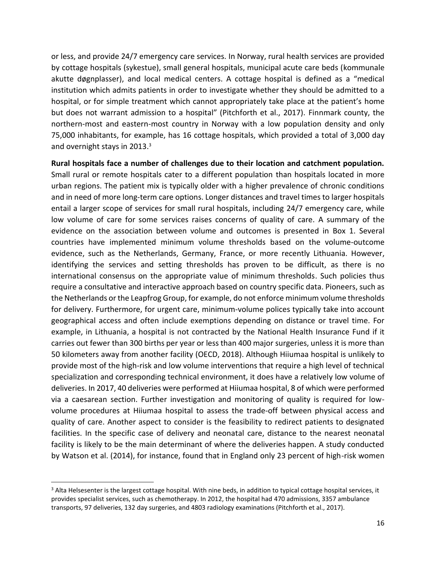or less, and provide 24/7 emergency care services. In Norway, rural health services are provided by cottage hospitals (sykestue), small general hospitals, municipal acute care beds (kommunale akutte døgnplasser), and local medical centers. A cottage hospital is defined as a "medical institution which admits patients in order to investigate whether they should be admitted to a hospital, or for simple treatment which cannot appropriately take place at the patient's home but does not warrant admission to a hospital" (Pitchforth et al., 2017). Finnmark county, the northern-most and eastern-most country in Norway with a low population density and only 75,000 inhabitants, for example, has 16 cottage hospitals, which provided a total of 3,000 day and overnight stays in 2013.<sup>3</sup>

**Rural hospitals face a number of challenges due to their location and catchment population.**  Small rural or remote hospitals cater to a different population than hospitals located in more urban regions. The patient mix is typically older with a higher prevalence of chronic conditions and in need of more long-term care options. Longer distances and travel times to larger hospitals entail a larger scope of services for small rural hospitals, including 24/7 emergency care, while low volume of care for some services raises concerns of quality of care. A summary of the evidence on the association between volume and outcomes is presented in [Box 1.](#page-16-0) Several countries have implemented minimum volume thresholds based on the volume-outcome evidence, such as the Netherlands, Germany, France, or more recently Lithuania. However, identifying the services and setting thresholds has proven to be difficult, as there is no international consensus on the appropriate value of minimum thresholds. Such policies thus require a consultative and interactive approach based on country specific data. Pioneers, such as the Netherlands or the Leapfrog Group, for example, do not enforce minimum volume thresholds for delivery. Furthermore, for urgent care, minimum-volume polices typically take into account geographical access and often include exemptions depending on distance or travel time. For example, in Lithuania, a hospital is not contracted by the National Health Insurance Fund if it carries out fewer than 300 births per year or less than 400 major surgeries, unless it is more than 50 kilometers away from another facility (OECD, 2018). Although Hiiumaa hospital is unlikely to provide most of the high-risk and low volume interventions that require a high level of technical specialization and corresponding technical environment, it does have a relatively low volume of deliveries. In 2017, 40 deliveries were performed at Hiiumaa hospital, 8 of which were performed via a caesarean section. Further investigation and monitoring of quality is required for lowvolume procedures at Hiiumaa hospital to assess the trade-off between physical access and quality of care. Another aspect to consider is the feasibility to redirect patients to designated facilities. In the specific case of delivery and neonatal care, distance to the nearest neonatal facility is likely to be the main determinant of where the deliveries happen. A study conducted by Watson et al. (2014), for instance, found that in England only 23 percent of high-risk women

 $\overline{a}$ 

<sup>&</sup>lt;sup>3</sup> Alta Helsesenter is the largest cottage hospital. With nine beds, in addition to typical cottage hospital services, it provides specialist services, such as chemotherapy. In 2012, the hospital had 470 admissions, 3357 ambulance transports, 97 deliveries, 132 day surgeries, and 4803 radiology examinations (Pitchforth et al., 2017).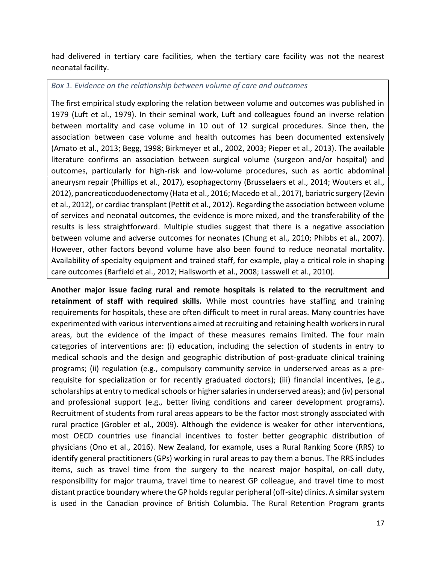had delivered in tertiary care facilities, when the tertiary care facility was not the nearest neonatal facility.

<span id="page-16-0"></span>*Box 1. Evidence on the relationship between volume of care and outcomes*

The first empirical study exploring the relation between volume and outcomes was published in 1979 (Luft et al., 1979). In their seminal work, Luft and colleagues found an inverse relation between mortality and case volume in 10 out of 12 surgical procedures. Since then, the association between case volume and health outcomes has been documented extensively (Amato et al., 2013; Begg, 1998; Birkmeyer et al., 2002, 2003; Pieper et al., 2013). The available literature confirms an association between surgical volume (surgeon and/or hospital) and outcomes, particularly for high-risk and low-volume procedures, such as aortic abdominal aneurysm repair (Phillips et al., 2017), esophagectomy (Brusselaers et al., 2014; Wouters et al., 2012), pancreaticoduodenectomy (Hata et al., 2016; Macedo et al., 2017), bariatric surgery (Zevin et al., 2012), or cardiac transplant (Pettit et al., 2012). Regarding the association between volume of services and neonatal outcomes, the evidence is more mixed, and the transferability of the results is less straightforward. Multiple studies suggest that there is a negative association between volume and adverse outcomes for neonates (Chung et al., 2010; Phibbs et al., 2007). However, other factors beyond volume have also been found to reduce neonatal mortality. Availability of specialty equipment and trained staff, for example, play a critical role in shaping care outcomes (Barfield et al., 2012; Hallsworth et al., 2008; Lasswell et al., 2010).

**Another major issue facing rural and remote hospitals is related to the recruitment and retainment of staff with required skills.** While most countries have staffing and training requirements for hospitals, these are often difficult to meet in rural areas. Many countries have experimented with various interventions aimed at recruiting and retaining health workers in rural areas, but the evidence of the impact of these measures remains limited. The four main categories of interventions are: (i) education, including the selection of students in entry to medical schools and the design and geographic distribution of post-graduate clinical training programs; (ii) regulation (e.g., compulsory community service in underserved areas as a prerequisite for specialization or for recently graduated doctors); (iii) financial incentives, (e.g., scholarships at entry to medical schools or higher salaries in underserved areas); and (iv) personal and professional support (e.g., better living conditions and career development programs). Recruitment of students from rural areas appears to be the factor most strongly associated with rural practice (Grobler et al., 2009). Although the evidence is weaker for other interventions, most OECD countries use financial incentives to foster better geographic distribution of physicians (Ono et al., 2016). New Zealand, for example, uses a Rural Ranking Score (RRS) to identify general practitioners (GPs) working in rural areas to pay them a bonus. The RRS includes items, such as travel time from the surgery to the nearest major hospital, on-call duty, responsibility for major trauma, travel time to nearest GP colleague, and travel time to most distant practice boundary where the GP holds regular peripheral (off-site) clinics. A similar system is used in the Canadian province of British Columbia. The Rural Retention Program grants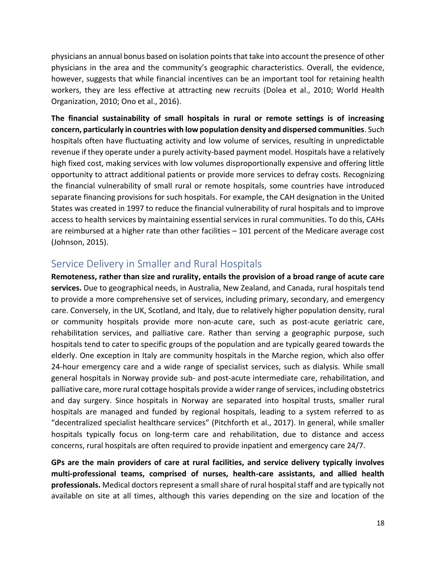physicians an annual bonus based on isolation points that take into account the presence of other physicians in the area and the community's geographic characteristics. Overall, the evidence, however, suggests that while financial incentives can be an important tool for retaining health workers, they are less effective at attracting new recruits (Dolea et al., 2010; World Health Organization, 2010; Ono et al., 2016).

**The financial sustainability of small hospitals in rural or remote settings is of increasing concern, particularly in countries with low population density and dispersed communities**. Such hospitals often have fluctuating activity and low volume of services, resulting in unpredictable revenue if they operate under a purely activity-based payment model. Hospitals have a relatively high fixed cost, making services with low volumes disproportionally expensive and offering little opportunity to attract additional patients or provide more services to defray costs. Recognizing the financial vulnerability of small rural or remote hospitals, some countries have introduced separate financing provisions for such hospitals. For example, the CAH designation in the United States was created in 1997 to reduce the financial vulnerability of rural hospitals and to improve access to health services by maintaining essential services in rural communities. To do this, CAHs are reimbursed at a higher rate than other facilities – 101 percent of the Medicare average cost (Johnson, 2015).

### <span id="page-17-0"></span>Service Delivery in Smaller and Rural Hospitals

**Remoteness, rather than size and rurality, entails the provision of a broad range of acute care services.** Due to geographical needs, in Australia, New Zealand, and Canada, rural hospitals tend to provide a more comprehensive set of services, including primary, secondary, and emergency care. Conversely, in the UK, Scotland, and Italy, due to relatively higher population density, rural or community hospitals provide more non-acute care, such as post-acute geriatric care, rehabilitation services, and palliative care. Rather than serving a geographic purpose, such hospitals tend to cater to specific groups of the population and are typically geared towards the elderly. One exception in Italy are community hospitals in the Marche region, which also offer 24-hour emergency care and a wide range of specialist services, such as dialysis. While small general hospitals in Norway provide sub- and post-acute intermediate care, rehabilitation, and palliative care, more rural cottage hospitals provide a wider range of services, including obstetrics and day surgery. Since hospitals in Norway are separated into hospital trusts, smaller rural hospitals are managed and funded by regional hospitals, leading to a system referred to as "decentralized specialist healthcare services" (Pitchforth et al., 2017). In general, while smaller hospitals typically focus on long-term care and rehabilitation, due to distance and access concerns, rural hospitals are often required to provide inpatient and emergency care 24/7.

**GPs are the main providers of care at rural facilities, and service delivery typically involves multi-professional teams, comprised of nurses, health-care assistants, and allied health professionals.** Medical doctors represent a small share of rural hospital staff and are typically not available on site at all times, although this varies depending on the size and location of the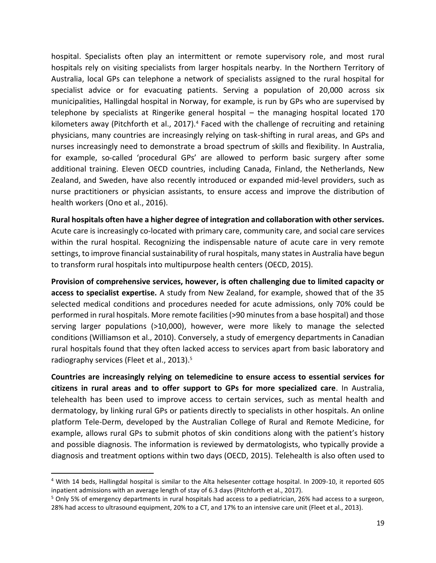hospital. Specialists often play an intermittent or remote supervisory role, and most rural hospitals rely on visiting specialists from larger hospitals nearby. In the Northern Territory of Australia, local GPs can telephone a network of specialists assigned to the rural hospital for specialist advice or for evacuating patients. Serving a population of 20,000 across six municipalities, Hallingdal hospital in Norway, for example, is run by GPs who are supervised by telephone by specialists at Ringerike general hospital – the managing hospital located 170 kilometers away (Pitchforth et al., 2017).<sup>4</sup> Faced with the challenge of recruiting and retaining physicians, many countries are increasingly relying on task-shifting in rural areas, and GPs and nurses increasingly need to demonstrate a broad spectrum of skills and flexibility. In Australia, for example, so-called 'procedural GPs' are allowed to perform basic surgery after some additional training. Eleven OECD countries, including Canada, Finland, the Netherlands, New Zealand, and Sweden, have also recently introduced or expanded mid-level providers, such as nurse practitioners or physician assistants, to ensure access and improve the distribution of health workers (Ono et al., 2016).

**Rural hospitals often have a higher degree of integration and collaboration with other services.**  Acute care is increasingly co-located with primary care, community care, and social care services within the rural hospital. Recognizing the indispensable nature of acute care in very remote settings, to improve financial sustainability of rural hospitals, many states in Australia have begun to transform rural hospitals into multipurpose health centers (OECD, 2015).

**Provision of comprehensive services, however, is often challenging due to limited capacity or access to specialist expertise.** A study from New Zealand, for example, showed that of the 35 selected medical conditions and procedures needed for acute admissions, only 70% could be performed in rural hospitals. More remote facilities (>90 minutes from a base hospital) and those serving larger populations (>10,000), however, were more likely to manage the selected conditions (Williamson et al., 2010). Conversely, a study of emergency departments in Canadian rural hospitals found that they often lacked access to services apart from basic laboratory and radiography services (Fleet et al., 2013). 5

**Countries are increasingly relying on telemedicine to ensure access to essential services for citizens in rural areas and to offer support to GPs for more specialized care**. In Australia, telehealth has been used to improve access to certain services, such as mental health and dermatology, by linking rural GPs or patients directly to specialists in other hospitals. An online platform Tele-Derm, developed by the Australian College of Rural and Remote Medicine, for example, allows rural GPs to submit photos of skin conditions along with the patient's history and possible diagnosis. The information is reviewed by dermatologists, who typically provide a diagnosis and treatment options within two days (OECD, 2015). Telehealth is also often used to

l

<sup>4</sup> With 14 beds, Hallingdal hospital is similar to the Alta helsesenter cottage hospital. In 2009-10, it reported 605 inpatient admissions with an average length of stay of 6.3 days (Pitchforth et al., 2017).

<sup>&</sup>lt;sup>5</sup> Only 5% of emergency departments in rural hospitals had access to a pediatrician, 26% had access to a surgeon, 28% had access to ultrasound equipment, 20% to a CT, and 17% to an intensive care unit (Fleet et al., 2013).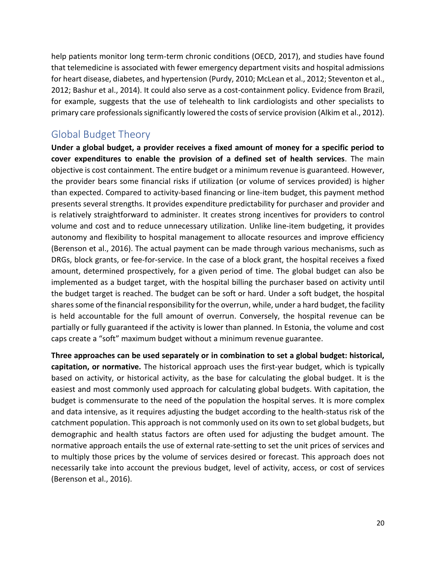help patients monitor long term-term chronic conditions (OECD, 2017), and studies have found that telemedicine is associated with fewer emergency department visits and hospital admissions for heart disease, diabetes, and hypertension (Purdy, 2010; McLean et al., 2012; Steventon et al., 2012; Bashur et al., 2014). It could also serve as a cost-containment policy. Evidence from Brazil, for example, suggests that the use of telehealth to link cardiologists and other specialists to primary care professionals significantly lowered the costs of service provision (Alkim et al., 2012).

### <span id="page-19-0"></span>Global Budget Theory

**Under a global budget, a provider receives a fixed amount of money for a specific period to cover expenditures to enable the provision of a defined set of health services**. The main objective is cost containment. The entire budget or a minimum revenue is guaranteed. However, the provider bears some financial risks if utilization (or volume of services provided) is higher than expected. Compared to activity-based financing or line-item budget, this payment method presents several strengths. It provides expenditure predictability for purchaser and provider and is relatively straightforward to administer. It creates strong incentives for providers to control volume and cost and to reduce unnecessary utilization. Unlike line-item budgeting, it provides autonomy and flexibility to hospital management to allocate resources and improve efficiency (Berenson et al., 2016). The actual payment can be made through various mechanisms, such as DRGs, block grants, or fee-for-service. In the case of a block grant, the hospital receives a fixed amount, determined prospectively, for a given period of time. The global budget can also be implemented as a budget target, with the hospital billing the purchaser based on activity until the budget target is reached. The budget can be soft or hard. Under a soft budget, the hospital shares some of the financial responsibility for the overrun, while, under a hard budget, the facility is held accountable for the full amount of overrun. Conversely, the hospital revenue can be partially or fully guaranteed if the activity is lower than planned. In Estonia, the volume and cost caps create a "soft" maximum budget without a minimum revenue guarantee.

**Three approaches can be used separately or in combination to set a global budget: historical, capitation, or normative.** The historical approach uses the first-year budget, which is typically based on activity, or historical activity, as the base for calculating the global budget. It is the easiest and most commonly used approach for calculating global budgets. With capitation, the budget is commensurate to the need of the population the hospital serves. It is more complex and data intensive, as it requires adjusting the budget according to the health-status risk of the catchment population. This approach is not commonly used on its own to set global budgets, but demographic and health status factors are often used for adjusting the budget amount. The normative approach entails the use of external rate-setting to set the unit prices of services and to multiply those prices by the volume of services desired or forecast. This approach does not necessarily take into account the previous budget, level of activity, access, or cost of services (Berenson et al., 2016).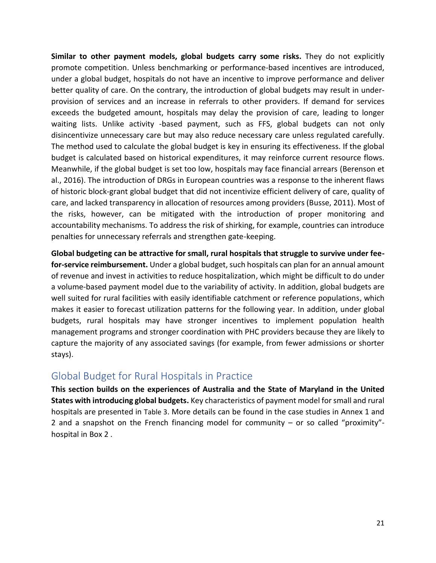**Similar to other payment models, global budgets carry some risks.** They do not explicitly promote competition. Unless benchmarking or performance-based incentives are introduced, under a global budget, hospitals do not have an incentive to improve performance and deliver better quality of care. On the contrary, the introduction of global budgets may result in underprovision of services and an increase in referrals to other providers. If demand for services exceeds the budgeted amount, hospitals may delay the provision of care, leading to longer waiting lists. Unlike activity -based payment, such as FFS, global budgets can not only disincentivize unnecessary care but may also reduce necessary care unless regulated carefully. The method used to calculate the global budget is key in ensuring its effectiveness. If the global budget is calculated based on historical expenditures, it may reinforce current resource flows. Meanwhile, if the global budget is set too low, hospitals may face financial arrears (Berenson et al., 2016). The introduction of DRGs in European countries was a response to the inherent flaws of historic block-grant global budget that did not incentivize efficient delivery of care, quality of care, and lacked transparency in allocation of resources among providers (Busse, 2011). Most of the risks, however, can be mitigated with the introduction of proper monitoring and accountability mechanisms. To address the risk of shirking, for example, countries can introduce penalties for unnecessary referrals and strengthen gate-keeping.

**Global budgeting can be attractive for small, rural hospitals that struggle to survive under feefor-service reimbursement.** Under a global budget, such hospitals can plan for an annual amount of revenue and invest in activities to reduce hospitalization, which might be difficult to do under a volume-based payment model due to the variability of activity. In addition, global budgets are well suited for rural facilities with easily identifiable catchment or reference populations, which makes it easier to forecast utilization patterns for the following year. In addition, under global budgets, rural hospitals may have stronger incentives to implement population health management programs and stronger coordination with PHC providers because they are likely to capture the majority of any associated savings (for example, from fewer admissions or shorter stays).

#### <span id="page-20-0"></span>Global Budget for Rural Hospitals in Practice

**This section builds on the experiences of Australia and the State of Maryland in the United States with introducing global budgets.** Key characteristics of payment model for small and rural hospitals are presented in [Table 3](#page-21-0). More details can be found in the case studies in Annex 1 and 2 and a snapshot on the French financing model for community – or so called "proximity" hospital in [Box 2](#page-25-0) .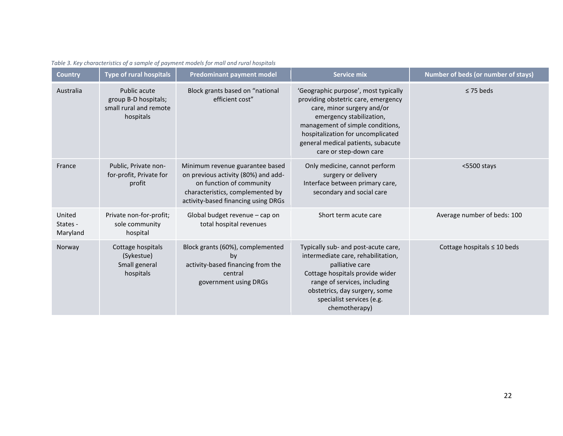<span id="page-21-0"></span>

| <b>Country</b>                 | <b>Type of rural hospitals</b>                                              | <b>Predominant payment model</b>                                                                                                                                              | <b>Service mix</b>                                                                                                                                                                                                                                                             | <b>Number of beds (or number of stays)</b> |
|--------------------------------|-----------------------------------------------------------------------------|-------------------------------------------------------------------------------------------------------------------------------------------------------------------------------|--------------------------------------------------------------------------------------------------------------------------------------------------------------------------------------------------------------------------------------------------------------------------------|--------------------------------------------|
| Australia                      | Public acute<br>group B-D hospitals;<br>small rural and remote<br>hospitals | Block grants based on "national<br>efficient cost"                                                                                                                            | 'Geographic purpose', most typically<br>providing obstetric care, emergency<br>care, minor surgery and/or<br>emergency stabilization,<br>management of simple conditions,<br>hospitalization for uncomplicated<br>general medical patients, subacute<br>care or step-down care | $\leq$ 75 beds                             |
| France                         | Public, Private non-<br>for-profit, Private for<br>profit                   | Minimum revenue guarantee based<br>on previous activity (80%) and add-<br>on function of community<br>characteristics, complemented by<br>activity-based financing using DRGs | Only medicine, cannot perform<br>surgery or delivery<br>Interface between primary care,<br>secondary and social care                                                                                                                                                           | $<$ 5500 stays                             |
| United<br>States -<br>Maryland | Private non-for-profit;<br>sole community<br>hospital                       | Global budget revenue - cap on<br>total hospital revenues                                                                                                                     | Short term acute care                                                                                                                                                                                                                                                          | Average number of beds: 100                |
| Norway                         | Cottage hospitals<br>(Sykestue)<br>Small general<br>hospitals               | Block grants (60%), complemented<br>by<br>activity-based financing from the<br>central<br>government using DRGs                                                               | Typically sub- and post-acute care,<br>intermediate care, rehabilitation,<br>palliative care<br>Cottage hospitals provide wider<br>range of services, including<br>obstetrics, day surgery, some<br>specialist services (e.g.<br>chemotherapy)                                 | Cottage hospitals $\leq 10$ beds           |

*Table 3. Key characteristics of a sample of payment models for mall and rural hospitals*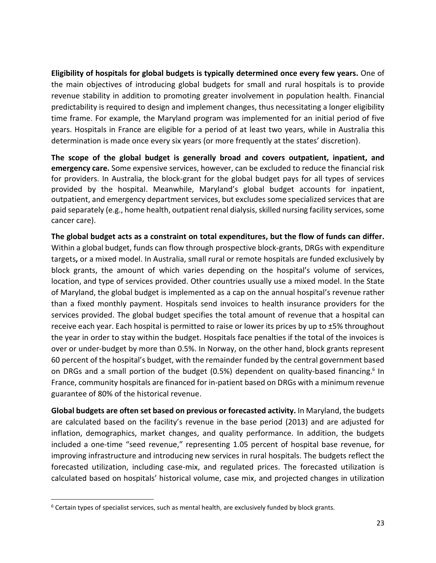**Eligibility of hospitals for global budgets is typically determined once every few years.** One of the main objectives of introducing global budgets for small and rural hospitals is to provide revenue stability in addition to promoting greater involvement in population health. Financial predictability is required to design and implement changes, thus necessitating a longer eligibility time frame. For example, the Maryland program was implemented for an initial period of five years. Hospitals in France are eligible for a period of at least two years, while in Australia this determination is made once every six years (or more frequently at the states' discretion).

**The scope of the global budget is generally broad and covers outpatient, inpatient, and emergency care.** Some expensive services, however, can be excluded to reduce the financial risk for providers. In Australia, the block-grant for the global budget pays for all types of services provided by the hospital. Meanwhile, Maryland's global budget accounts for inpatient, outpatient, and emergency department services, but excludes some specialized services that are paid separately (e.g., home health, outpatient renal dialysis, skilled nursing facility services, some cancer care).

**The global budget acts as a constraint on total expenditures, but the flow of funds can differ.**  Within a global budget, funds can flow through prospective block-grants, DRGs with expenditure targets**,** or a mixed model. In Australia, small rural or remote hospitals are funded exclusively by block grants, the amount of which varies depending on the hospital's volume of services, location, and type of services provided. Other countries usually use a mixed model. In the State of Maryland, the global budget is implemented as a cap on the annual hospital's revenue rather than a fixed monthly payment. Hospitals send invoices to health insurance providers for the services provided. The global budget specifies the total amount of revenue that a hospital can receive each year. Each hospital is permitted to raise or lower its prices by up to ±5% throughout the year in order to stay within the budget. Hospitals face penalties if the total of the invoices is over or under-budget by more than 0.5%. In Norway, on the other hand, block grants represent 60 percent of the hospital's budget, with the remainder funded by the central government based on DRGs and a small portion of the budget (0.5%) dependent on quality-based financing.<sup>6</sup> In France, community hospitals are financed for in-patient based on DRGs with a minimum revenue guarantee of 80% of the historical revenue.

**Global budgets are often set based on previous or forecasted activity.** In Maryland, the budgets are calculated based on the facility's revenue in the base period (2013) and are adjusted for inflation, demographics, market changes, and quality performance. In addition, the budgets included a one-time "seed revenue," representing 1.05 percent of hospital base revenue, for improving infrastructure and introducing new services in rural hospitals. The budgets reflect the forecasted utilization, including case-mix, and regulated prices. The forecasted utilization is calculated based on hospitals' historical volume, case mix, and projected changes in utilization

 $\overline{\phantom{a}}$ 

<sup>&</sup>lt;sup>6</sup> Certain types of specialist services, such as mental health, are exclusively funded by block grants.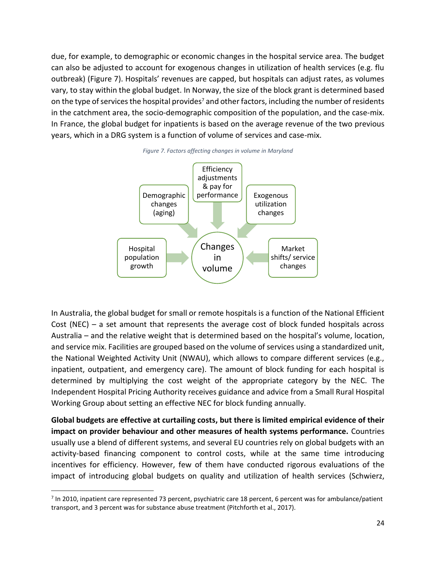due, for example, to demographic or economic changes in the hospital service area. The budget can also be adjusted to account for exogenous changes in utilization of health services (e.g. flu outbreak) [\(Figure 7\)](#page-23-0). Hospitals' revenues are capped, but hospitals can adjust rates, as volumes vary, to stay within the global budget. In Norway, the size of the block grant is determined based on the type of services the hospital provides<sup>7</sup> and other factors, including the number of residents in the catchment area, the socio-demographic composition of the population, and the case-mix. In France, the global budget for inpatients is based on the average revenue of the two previous years, which in a DRG system is a function of volume of services and case-mix.

<span id="page-23-0"></span>



In Australia, the global budget for small or remote hospitals is a function of the National Efficient Cost (NEC) – a set amount that represents the average cost of block funded hospitals across Australia – and the relative weight that is determined based on the hospital's volume, location, and service mix. Facilities are grouped based on the volume of services using a standardized unit, the National Weighted Activity Unit (NWAU), which allows to compare different services (e.g., inpatient, outpatient, and emergency care). The amount of block funding for each hospital is determined by multiplying the cost weight of the appropriate category by the NEC. The Independent Hospital Pricing Authority receives guidance and advice from a Small Rural Hospital Working Group about setting an effective NEC for block funding annually.

**Global budgets are effective at curtailing costs, but there is limited empirical evidence of their impact on provider behaviour and other measures of health systems performance.** Countries usually use a blend of different systems, and several EU countries rely on global budgets with an activity-based financing component to control costs, while at the same time introducing incentives for efficiency. However, few of them have conducted rigorous evaluations of the impact of introducing global budgets on quality and utilization of health services (Schwierz,

 $\overline{\phantom{a}}$ 

 $<sup>7</sup>$  In 2010, inpatient care represented 73 percent, psychiatric care 18 percent, 6 percent was for ambulance/patient</sup> transport, and 3 percent was for substance abuse treatment (Pitchforth et al., 2017).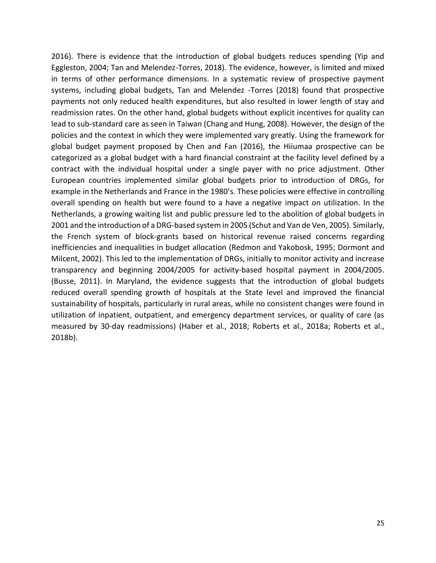2016). There is evidence that the introduction of global budgets reduces spending (Yip and Eggleston, 2004; Tan and Melendez-Torres, 2018). The evidence, however, is limited and mixed in terms of other performance dimensions. In a systematic review of prospective payment systems, including global budgets, Tan and Melendez -Torres (2018) found that prospective payments not only reduced health expenditures, but also resulted in lower length of stay and readmission rates. On the other hand, global budgets without explicit incentives for quality can lead to sub-standard care as seen in Taiwan (Chang and Hung, 2008). However, the design of the policies and the context in which they were implemented vary greatly. Using the framework for global budget payment proposed by Chen and Fan (2016), the Hiiumaa prospective can be categorized as a global budget with a hard financial constraint at the facility level defined by a contract with the individual hospital under a single payer with no price adjustment. Other European countries implemented similar global budgets prior to introduction of DRGs, for example in the Netherlands and France in the 1980's. These policies were effective in controlling overall spending on health but were found to a have a negative impact on utilization. In the Netherlands, a growing waiting list and public pressure led to the abolition of global budgets in 2001 and the introduction of a DRG-based system in 2005 (Schut and Van de Ven, 2005). Similarly, the French system of block-grants based on historical revenue raised concerns regarding inefficiencies and inequalities in budget allocation (Redmon and Yakobosk, 1995; Dormont and Milcent, 2002). This led to the implementation of DRGs, initially to monitor activity and increase transparency and beginning 2004/2005 for activity-based hospital payment in 2004/2005. (Busse, 2011). In Maryland, the evidence suggests that the introduction of global budgets reduced overall spending growth of hospitals at the State level and improved the financial sustainability of hospitals, particularly in rural areas, while no consistent changes were found in utilization of inpatient, outpatient, and emergency department services, or quality of care (as measured by 30-day readmissions) (Haber et al., 2018; Roberts et al., 2018a; Roberts et al., 2018b).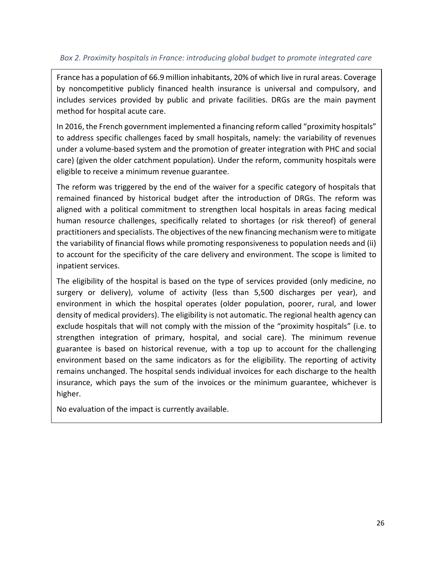#### <span id="page-25-0"></span>*Box 2. Proximity hospitals in France: introducing global budget to promote integrated care*

France has a population of 66.9 million inhabitants, 20% of which live in rural areas. Coverage by noncompetitive publicly financed health insurance is universal and compulsory, and includes services provided by public and private facilities. DRGs are the main payment method for hospital acute care.

In 2016, the French government implemented a financing reform called "proximity hospitals" to address specific challenges faced by small hospitals, namely: the variability of revenues under a volume-based system and the promotion of greater integration with PHC and social care) (given the older catchment population). Under the reform, community hospitals were eligible to receive a minimum revenue guarantee.

The reform was triggered by the end of the waiver for a specific category of hospitals that remained financed by historical budget after the introduction of DRGs. The reform was aligned with a political commitment to strengthen local hospitals in areas facing medical human resource challenges, specifically related to shortages (or risk thereof) of general practitioners and specialists. The objectives of the new financing mechanism were to mitigate the variability of financial flows while promoting responsiveness to population needs and (ii) to account for the specificity of the care delivery and environment. The scope is limited to inpatient services.

The eligibility of the hospital is based on the type of services provided (only medicine, no surgery or delivery), volume of activity (less than 5,500 discharges per year), and environment in which the hospital operates (older population, poorer, rural, and lower density of medical providers). The eligibility is not automatic. The regional health agency can exclude hospitals that will not comply with the mission of the "proximity hospitals" (i.e. to strengthen integration of primary, hospital, and social care). The minimum revenue guarantee is based on historical revenue, with a top up to account for the challenging environment based on the same indicators as for the eligibility. The reporting of activity remains unchanged. The hospital sends individual invoices for each discharge to the health insurance, which pays the sum of the invoices or the minimum guarantee, whichever is higher.

No evaluation of the impact is currently available.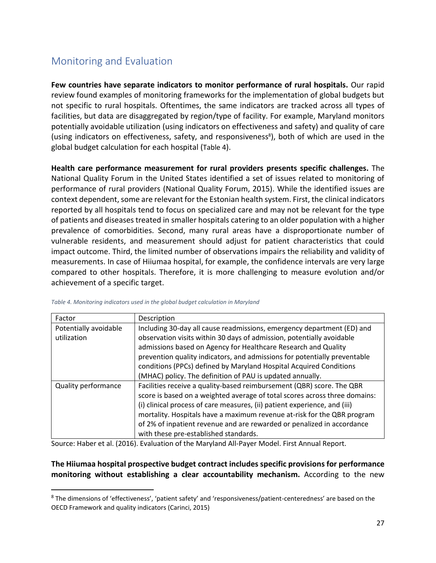## <span id="page-26-0"></span>Monitoring and Evaluation

**Few countries have separate indicators to monitor performance of rural hospitals.** Our rapid review found examples of monitoring frameworks for the implementation of global budgets but not specific to rural hospitals. Oftentimes, the same indicators are tracked across all types of facilities, but data are disaggregated by region/type of facility. For example, Maryland monitors potentially avoidable utilization (using indicators on effectiveness and safety) and quality of care (using indicators on effectiveness, safety, and responsiveness<sup>8</sup>), both of which are used in the global budget calculation for each hospital ([Table 4](#page-26-1)).

**Health care performance measurement for rural providers presents specific challenges.** The National Quality Forum in the United States identified a set of issues related to monitoring of performance of rural providers (National Quality Forum, 2015). While the identified issues are context dependent, some are relevant for the Estonian health system. First, the clinical indicators reported by all hospitals tend to focus on specialized care and may not be relevant for the type of patients and diseases treated in smaller hospitals catering to an older population with a higher prevalence of comorbidities. Second, many rural areas have a disproportionate number of vulnerable residents, and measurement should adjust for patient characteristics that could impact outcome. Third, the limited number of observations impairs the reliability and validity of measurements. In case of Hiiumaa hospital, for example, the confidence intervals are very large compared to other hospitals. Therefore, it is more challenging to measure evolution and/or achievement of a specific target.

| Factor                     | Description                                                                |
|----------------------------|----------------------------------------------------------------------------|
| Potentially avoidable      | Including 30-day all cause readmissions, emergency department (ED) and     |
| utilization                | observation visits within 30 days of admission, potentially avoidable      |
|                            | admissions based on Agency for Healthcare Research and Quality             |
|                            | prevention quality indicators, and admissions for potentially preventable  |
|                            | conditions (PPCs) defined by Maryland Hospital Acquired Conditions         |
|                            | (MHAC) policy. The definition of PAU is updated annually.                  |
| <b>Quality performance</b> | Facilities receive a quality-based reimbursement (QBR) score. The QBR      |
|                            | score is based on a weighted average of total scores across three domains: |
|                            | (i) clinical process of care measures, (ii) patient experience, and (iii)  |
|                            | mortality. Hospitals have a maximum revenue at-risk for the QBR program    |
|                            | of 2% of inpatient revenue and are rewarded or penalized in accordance     |
|                            | with these pre-established standards.                                      |

<span id="page-26-1"></span>*Table 4. Monitoring indicators used in the global budget calculation in Maryland*

 $\overline{a}$ 

Source: Haber et al. (2016). Evaluation of the Maryland All-Payer Model. First Annual Report.

#### **The Hiiumaa hospital prospective budget contract includes specific provisions for performance monitoring without establishing a clear accountability mechanism.** According to the new

<sup>&</sup>lt;sup>8</sup> The dimensions of 'effectiveness', 'patient safety' and 'responsiveness/patient-centeredness' are based on the OECD Framework and quality indicators (Carinci, 2015)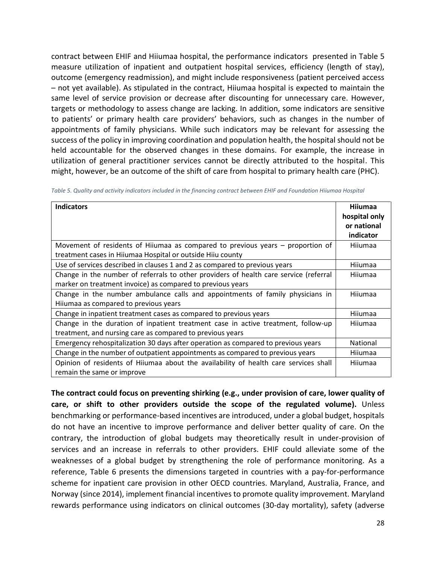contract between EHIF and Hiiumaa hospital, the performance indicators presented in [Table 5](#page-27-0) measure utilization of inpatient and outpatient hospital services, efficiency (length of stay), outcome (emergency readmission), and might include responsiveness (patient perceived access – not yet available). As stipulated in the contract, Hiiumaa hospital is expected to maintain the same level of service provision or decrease after discounting for unnecessary care. However, targets or methodology to assess change are lacking. In addition, some indicators are sensitive to patients' or primary health care providers' behaviors, such as changes in the number of appointments of family physicians. While such indicators may be relevant for assessing the success of the policy in improving coordination and population health, the hospital should not be held accountable for the observed changes in these domains. For example, the increase in utilization of general practitioner services cannot be directly attributed to the hospital. This might, however, be an outcome of the shift of care from hospital to primary health care (PHC).

| <b>Indicators</b>                                                                     | <b>Hiiumaa</b><br>hospital only<br>or national<br>indicator |
|---------------------------------------------------------------------------------------|-------------------------------------------------------------|
| Movement of residents of Hiiumaa as compared to previous years – proportion of        | Hiiumaa                                                     |
| treatment cases in Hiiumaa Hospital or outside Hiiu county                            |                                                             |
| Use of services described in clauses 1 and 2 as compared to previous years            | Hiiumaa                                                     |
| Change in the number of referrals to other providers of health care service (referral | Hiiumaa                                                     |
| marker on treatment invoice) as compared to previous years                            |                                                             |
| Change in the number ambulance calls and appointments of family physicians in         | Hiiumaa                                                     |
| Hiiumaa as compared to previous years                                                 |                                                             |
| Change in inpatient treatment cases as compared to previous years                     | Hiiumaa                                                     |
| Change in the duration of inpatient treatment case in active treatment, follow-up     | Hiiumaa                                                     |
| treatment, and nursing care as compared to previous years                             |                                                             |
| Emergency rehospitalization 30 days after operation as compared to previous years     | National                                                    |
| Change in the number of outpatient appointments as compared to previous years         | Hiiumaa                                                     |
| Opinion of residents of Hiiumaa about the availability of health care services shall  | Hiiumaa                                                     |
| remain the same or improve                                                            |                                                             |

<span id="page-27-0"></span>*Table 5. Quality and activity indicators included in the financing contract between EHIF and Foundation Hiiumaa Hospital*

**The contract could focus on preventing shirking (e.g., under provision of care, lower quality of care, or shift to other providers outside the scope of the regulated volume).** Unless benchmarking or performance-based incentives are introduced, under a global budget, hospitals do not have an incentive to improve performance and deliver better quality of care. On the contrary, the introduction of global budgets may theoretically result in under-provision of services and an increase in referrals to other providers. EHIF could alleviate some of the weaknesses of a global budget by strengthening the role of performance monitoring. As a reference, [Table 6](#page-29-1) presents the dimensions targeted in countries with a pay-for-performance scheme for inpatient care provision in other OECD countries. Maryland, Australia, France, and Norway (since 2014), implement financial incentives to promote quality improvement. Maryland rewards performance using indicators on clinical outcomes (30-day mortality), safety (adverse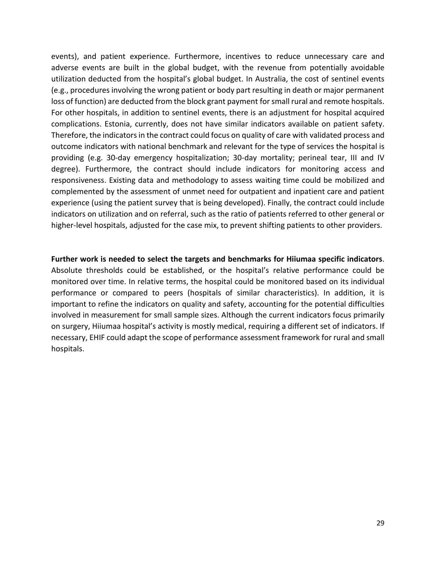events), and patient experience. Furthermore, incentives to reduce unnecessary care and adverse events are built in the global budget, with the revenue from potentially avoidable utilization deducted from the hospital's global budget. In Australia, the cost of sentinel events (e.g., procedures involving the wrong patient or body part resulting in death or major permanent loss of function) are deducted from the block grant payment for small rural and remote hospitals. For other hospitals, in addition to sentinel events, there is an adjustment for hospital acquired complications. Estonia, currently, does not have similar indicators available on patient safety. Therefore, the indicators in the contract could focus on quality of care with validated process and outcome indicators with national benchmark and relevant for the type of services the hospital is providing (e.g. 30-day emergency hospitalization; 30-day mortality; perineal tear, III and IV degree). Furthermore, the contract should include indicators for monitoring access and responsiveness. Existing data and methodology to assess waiting time could be mobilized and complemented by the assessment of unmet need for outpatient and inpatient care and patient experience (using the patient survey that is being developed). Finally, the contract could include indicators on utilization and on referral, such as the ratio of patients referred to other general or higher-level hospitals, adjusted for the case mix, to prevent shifting patients to other providers.

**Further work is needed to select the targets and benchmarks for Hiiumaa specific indicators**. Absolute thresholds could be established, or the hospital's relative performance could be monitored over time. In relative terms, the hospital could be monitored based on its individual performance or compared to peers (hospitals of similar characteristics). In addition, it is important to refine the indicators on quality and safety, accounting for the potential difficulties involved in measurement for small sample sizes. Although the current indicators focus primarily on surgery, Hiiumaa hospital's activity is mostly medical, requiring a different set of indicators. If necessary, EHIF could adapt the scope of performance assessment framework for rural and small hospitals.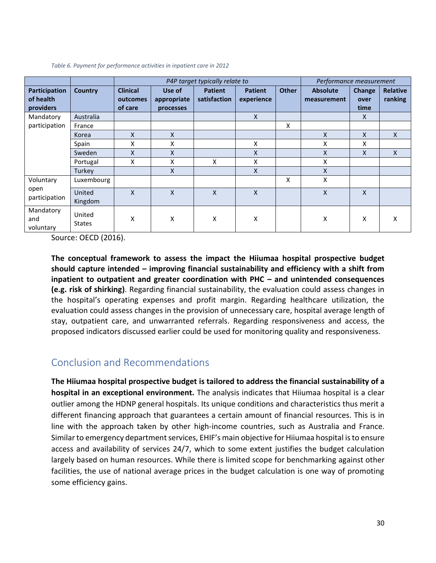|                                         |                         |                                        | P4P target typically relate to     |                                |                              |              | Performance measurement        |                        |                            |
|-----------------------------------------|-------------------------|----------------------------------------|------------------------------------|--------------------------------|------------------------------|--------------|--------------------------------|------------------------|----------------------------|
| Participation<br>of health<br>providers | <b>Country</b>          | <b>Clinical</b><br>outcomes<br>of care | Use of<br>appropriate<br>processes | <b>Patient</b><br>satisfaction | <b>Patient</b><br>experience | <b>Other</b> | <b>Absolute</b><br>measurement | Change<br>over<br>time | <b>Relative</b><br>ranking |
| Mandatory                               | Australia               |                                        |                                    |                                | $\mathsf{x}$                 |              |                                | X                      |                            |
| participation                           | France                  |                                        |                                    |                                |                              | X            |                                |                        |                            |
|                                         | Korea                   | $\mathsf{x}$                           | X                                  |                                |                              |              | X                              | $\mathsf{x}$           | $\mathsf{X}$               |
|                                         | Spain                   | x                                      | X                                  |                                | X                            |              | x                              | X                      |                            |
|                                         | Sweden                  | X                                      | X                                  |                                | $\mathsf{x}$                 |              | X                              | $\mathsf{x}$           | X                          |
|                                         | Portugal                | x                                      | X                                  | X                              | X                            |              | x                              |                        |                            |
|                                         | Turkey                  |                                        | $\mathsf{x}$                       |                                | $\mathsf{x}$                 |              | X                              |                        |                            |
| Voluntary                               | Luxembourg              |                                        |                                    |                                |                              | X            | X                              |                        |                            |
| open<br>participation                   | United<br>Kingdom       | X                                      | $\mathsf{x}$                       | $\mathsf{x}$                   | $\mathsf{x}$                 |              | X                              | $\mathsf{x}$           |                            |
| Mandatory<br>and<br>voluntary           | United<br><b>States</b> | X                                      | X                                  | X                              | X                            |              | X                              | X                      | x                          |

<span id="page-29-1"></span>*Table 6. Payment for performance activities in inpatient care in 2012*

Source: OECD (2016).

**The conceptual framework to assess the impact the Hiiumaa hospital prospective budget should capture intended – improving financial sustainability and efficiency with a shift from inpatient to outpatient and greater coordination with PHC – and unintended consequences (e.g. risk of shirking)**. Regarding financial sustainability, the evaluation could assess changes in the hospital's operating expenses and profit margin. Regarding healthcare utilization, the evaluation could assess changes in the provision of unnecessary care, hospital average length of stay, outpatient care, and unwarranted referrals. Regarding responsiveness and access, the proposed indicators discussed earlier could be used for monitoring quality and responsiveness.

#### <span id="page-29-0"></span>Conclusion and Recommendations

**The Hiiumaa hospital prospective budget is tailored to address the financial sustainability of a hospital in an exceptional environment.** The analysis indicates that Hiiumaa hospital is a clear outlier among the HDNP general hospitals. Its unique conditions and characteristics thus merit a different financing approach that guarantees a certain amount of financial resources. This is in line with the approach taken by other high-income countries, such as Australia and France. Similar to emergency department services, EHIF's main objective for Hiiumaa hospital is to ensure access and availability of services 24/7, which to some extent justifies the budget calculation largely based on human resources. While there is limited scope for benchmarking against other facilities, the use of national average prices in the budget calculation is one way of promoting some efficiency gains.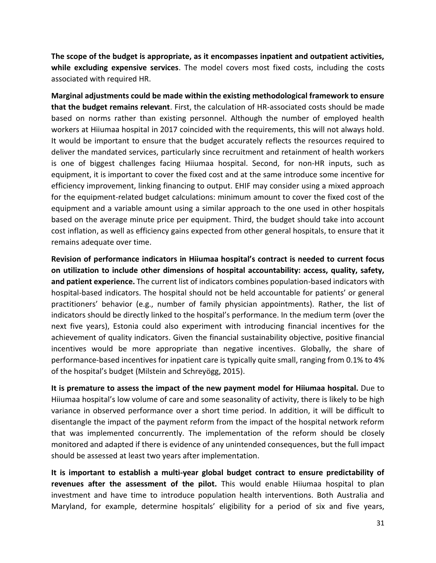**The scope of the budget is appropriate, as it encompasses inpatient and outpatient activities, while excluding expensive services**. The model covers most fixed costs, including the costs associated with required HR.

**Marginal adjustments could be made within the existing methodological framework to ensure that the budget remains relevant**. First, the calculation of HR-associated costs should be made based on norms rather than existing personnel. Although the number of employed health workers at Hiiumaa hospital in 2017 coincided with the requirements, this will not always hold. It would be important to ensure that the budget accurately reflects the resources required to deliver the mandated services, particularly since recruitment and retainment of health workers is one of biggest challenges facing Hiiumaa hospital. Second, for non-HR inputs, such as equipment, it is important to cover the fixed cost and at the same introduce some incentive for efficiency improvement, linking financing to output. EHIF may consider using a mixed approach for the equipment-related budget calculations: minimum amount to cover the fixed cost of the equipment and a variable amount using a similar approach to the one used in other hospitals based on the average minute price per equipment. Third, the budget should take into account cost inflation, as well as efficiency gains expected from other general hospitals, to ensure that it remains adequate over time.

**Revision of performance indicators in Hiiumaa hospital's contract is needed to current focus on utilization to include other dimensions of hospital accountability: access, quality, safety, and patient experience.** The current list of indicators combines population-based indicators with hospital-based indicators. The hospital should not be held accountable for patients' or general practitioners' behavior (e.g., number of family physician appointments). Rather, the list of indicators should be directly linked to the hospital's performance. In the medium term (over the next five years), Estonia could also experiment with introducing financial incentives for the achievement of quality indicators. Given the financial sustainability objective, positive financial incentives would be more appropriate than negative incentives. Globally, the share of performance-based incentives for inpatient care is typically quite small, ranging from 0.1% to 4% of the hospital's budget (Milstein and Schreyögg, 2015).

**It is premature to assess the impact of the new payment model for Hiiumaa hospital.** Due to Hiiumaa hospital's low volume of care and some seasonality of activity, there is likely to be high variance in observed performance over a short time period. In addition, it will be difficult to disentangle the impact of the payment reform from the impact of the hospital network reform that was implemented concurrently. The implementation of the reform should be closely monitored and adapted if there is evidence of any unintended consequences, but the full impact should be assessed at least two years after implementation.

**It is important to establish a multi-year global budget contract to ensure predictability of revenues after the assessment of the pilot.** This would enable Hiiumaa hospital to plan investment and have time to introduce population health interventions. Both Australia and Maryland, for example, determine hospitals' eligibility for a period of six and five years,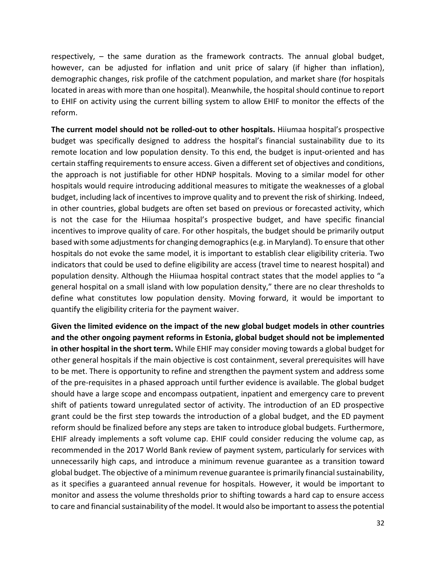respectively, – the same duration as the framework contracts. The annual global budget, however, can be adjusted for inflation and unit price of salary (if higher than inflation), demographic changes, risk profile of the catchment population, and market share (for hospitals located in areas with more than one hospital). Meanwhile, the hospital should continue to report to EHIF on activity using the current billing system to allow EHIF to monitor the effects of the reform.

**The current model should not be rolled-out to other hospitals.** Hiiumaa hospital's prospective budget was specifically designed to address the hospital's financial sustainability due to its remote location and low population density. To this end, the budget is input-oriented and has certain staffing requirements to ensure access. Given a different set of objectives and conditions, the approach is not justifiable for other HDNP hospitals. Moving to a similar model for other hospitals would require introducing additional measures to mitigate the weaknesses of a global budget, including lack of incentives to improve quality and to prevent the risk of shirking. Indeed, in other countries, global budgets are often set based on previous or forecasted activity, which is not the case for the Hiiumaa hospital's prospective budget, and have specific financial incentives to improve quality of care. For other hospitals, the budget should be primarily output based with some adjustments for changing demographics (e.g. in Maryland). To ensure that other hospitals do not evoke the same model, it is important to establish clear eligibility criteria. Two indicators that could be used to define eligibility are access (travel time to nearest hospital) and population density. Although the Hiiumaa hospital contract states that the model applies to "a general hospital on a small island with low population density," there are no clear thresholds to define what constitutes low population density. Moving forward, it would be important to quantify the eligibility criteria for the payment waiver.

**Given the limited evidence on the impact of the new global budget models in other countries and the other ongoing payment reforms in Estonia, global budget should not be implemented in other hospital in the short term.** While EHIF may consider moving towards a global budget for other general hospitals if the main objective is cost containment, several prerequisites will have to be met. There is opportunity to refine and strengthen the payment system and address some of the pre-requisites in a phased approach until further evidence is available. The global budget should have a large scope and encompass outpatient, inpatient and emergency care to prevent shift of patients toward unregulated sector of activity. The introduction of an ED prospective grant could be the first step towards the introduction of a global budget, and the ED payment reform should be finalized before any steps are taken to introduce global budgets. Furthermore, EHIF already implements a soft volume cap. EHIF could consider reducing the volume cap, as recommended in the 2017 World Bank review of payment system, particularly for services with unnecessarily high caps, and introduce a minimum revenue guarantee as a transition toward global budget. The objective of a minimum revenue guarantee is primarily financial sustainability, as it specifies a guaranteed annual revenue for hospitals. However, it would be important to monitor and assess the volume thresholds prior to shifting towards a hard cap to ensure access to care and financial sustainability of the model. It would also be important to assess the potential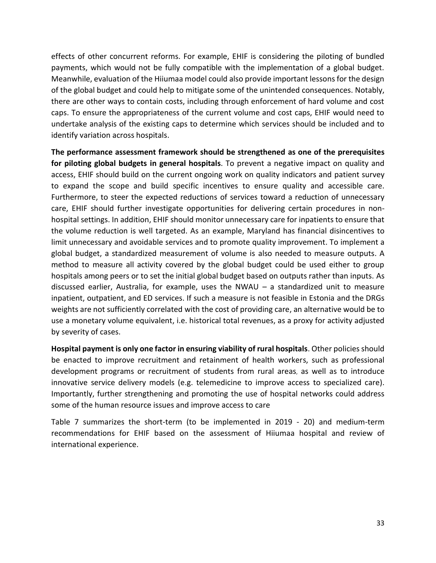effects of other concurrent reforms. For example, EHIF is considering the piloting of bundled payments, which would not be fully compatible with the implementation of a global budget. Meanwhile, evaluation of the Hiiumaa model could also provide important lessons for the design of the global budget and could help to mitigate some of the unintended consequences. Notably, there are other ways to contain costs, including through enforcement of hard volume and cost caps. To ensure the appropriateness of the current volume and cost caps, EHIF would need to undertake analysis of the existing caps to determine which services should be included and to identify variation across hospitals.

**The performance assessment framework should be strengthened as one of the prerequisites for piloting global budgets in general hospitals**. To prevent a negative impact on quality and access, EHIF should build on the current ongoing work on quality indicators and patient survey to expand the scope and build specific incentives to ensure quality and accessible care. Furthermore, to steer the expected reductions of services toward a reduction of unnecessary care, EHIF should further investigate opportunities for delivering certain procedures in nonhospital settings. In addition, EHIF should monitor unnecessary care for inpatients to ensure that the volume reduction is well targeted. As an example, Maryland has financial disincentives to limit unnecessary and avoidable services and to promote quality improvement. To implement a global budget, a standardized measurement of volume is also needed to measure outputs. A method to measure all activity covered by the global budget could be used either to group hospitals among peers or to set the initial global budget based on outputs rather than inputs. As discussed earlier, Australia, for example, uses the NWAU – a standardized unit to measure inpatient, outpatient, and ED services. If such a measure is not feasible in Estonia and the DRGs weights are not sufficiently correlated with the cost of providing care, an alternative would be to use a monetary volume equivalent, i.e. historical total revenues, as a proxy for activity adjusted by severity of cases.

**Hospital payment is only one factor in ensuring viability of rural hospitals**. Other policies should be enacted to improve recruitment and retainment of health workers, such as professional development programs or recruitment of students from rural areas, as well as to introduce innovative service delivery models (e.g. telemedicine to improve access to specialized care). Importantly, further strengthening and promoting the use of hospital networks could address some of the human resource issues and improve access to care

[Table 7](#page-33-0) summarizes the short-term (to be implemented in 2019 - 20) and medium-term recommendations for EHIF based on the assessment of Hiiumaa hospital and review of international experience.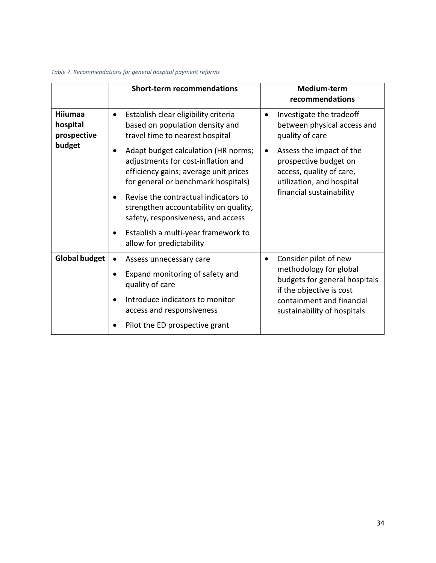#### <span id="page-33-0"></span>*Table 7. Recommendations for general hospital payment reforms*

|                                           | <b>Short-term recommendations</b>                                                                                                                                      | Medium-term<br>recommendations                                                                                          |
|-------------------------------------------|------------------------------------------------------------------------------------------------------------------------------------------------------------------------|-------------------------------------------------------------------------------------------------------------------------|
| <b>Hiiumaa</b><br>hospital<br>prospective | Establish clear eligibility criteria<br>$\bullet$<br>based on population density and<br>travel time to nearest hospital                                                | Investigate the tradeoff<br>$\bullet$<br>between physical access and<br>quality of care                                 |
| budget                                    | Adapt budget calculation (HR norms;<br>$\bullet$<br>adjustments for cost-inflation and<br>efficiency gains; average unit prices<br>for general or benchmark hospitals) | Assess the impact of the<br>$\bullet$<br>prospective budget on<br>access, quality of care,<br>utilization, and hospital |
|                                           | Revise the contractual indicators to<br>strengthen accountability on quality,<br>safety, responsiveness, and access                                                    | financial sustainability                                                                                                |
|                                           | Establish a multi-year framework to<br>$\bullet$<br>allow for predictability                                                                                           |                                                                                                                         |
| <b>Global budget</b>                      | Assess unnecessary care<br>$\bullet$                                                                                                                                   | Consider pilot of new<br>$\bullet$                                                                                      |
|                                           | Expand monitoring of safety and<br>٠<br>quality of care                                                                                                                | methodology for global<br>budgets for general hospitals<br>if the objective is cost                                     |
|                                           | Introduce indicators to monitor<br>$\bullet$<br>access and responsiveness                                                                                              | containment and financial<br>sustainability of hospitals                                                                |
|                                           | Pilot the ED prospective grant                                                                                                                                         |                                                                                                                         |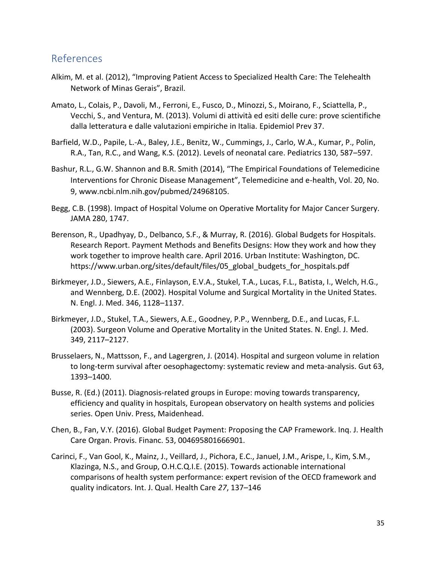#### <span id="page-34-0"></span>References

- Alkim, M. et al. (2012), "Improving Patient Access to Specialized Health Care: The Telehealth Network of Minas Gerais", Brazil.
- Amato, L., Colais, P., Davoli, M., Ferroni, E., Fusco, D., Minozzi, S., Moirano, F., Sciattella, P., Vecchi, S., and Ventura, M. (2013). Volumi di attività ed esiti delle cure: prove scientifiche dalla letteratura e dalle valutazioni empiriche in Italia. Epidemiol Prev 37.
- Barfield, W.D., Papile, L.-A., Baley, J.E., Benitz, W., Cummings, J., Carlo, W.A., Kumar, P., Polin, R.A., Tan, R.C., and Wang, K.S. (2012). Levels of neonatal care. Pediatrics 130, 587–597.
- Bashur, R.L., G.W. Shannon and B.R. Smith (2014), "The Empirical Foundations of Telemedicine Interventions for Chronic Disease Management", Telemedicine and e-health, Vol. 20, No. 9, www.ncbi.nlm.nih.gov/pubmed/24968105.
- Begg, C.B. (1998). Impact of Hospital Volume on Operative Mortality for Major Cancer Surgery. JAMA 280, 1747.
- Berenson, R., Upadhyay, D., Delbanco, S.F., & Murray, R. (2016). Global Budgets for Hospitals. Research Report. Payment Methods and Benefits Designs: How they work and how they work together to improve health care. April 2016. Urban Institute: Washington, DC. https://www.urban.org/sites/default/files/05\_global\_budgets\_for\_hospitals.pdf
- Birkmeyer, J.D., Siewers, A.E., Finlayson, E.V.A., Stukel, T.A., Lucas, F.L., Batista, I., Welch, H.G., and Wennberg, D.E. (2002). Hospital Volume and Surgical Mortality in the United States. N. Engl. J. Med. 346, 1128–1137.
- Birkmeyer, J.D., Stukel, T.A., Siewers, A.E., Goodney, P.P., Wennberg, D.E., and Lucas, F.L. (2003). Surgeon Volume and Operative Mortality in the United States. N. Engl. J. Med. 349, 2117–2127.
- Brusselaers, N., Mattsson, F., and Lagergren, J. (2014). Hospital and surgeon volume in relation to long-term survival after oesophagectomy: systematic review and meta-analysis. Gut 63, 1393–1400.
- Busse, R. (Ed.) (2011). Diagnosis-related groups in Europe: moving towards transparency, efficiency and quality in hospitals, European observatory on health systems and policies series. Open Univ. Press, Maidenhead.
- Chen, B., Fan, V.Y. (2016). Global Budget Payment: Proposing the CAP Framework. Inq. J. Health Care Organ. Provis. Financ. 53, 004695801666901.
- Carinci, F., Van Gool, K., Mainz, J., Veillard, J., Pichora, E.C., Januel, J.M., Arispe, I., Kim, S.M., Klazinga, N.S., and Group, O.H.C.Q.I.E. (2015). Towards actionable international comparisons of health system performance: expert revision of the OECD framework and quality indicators. Int. J. Qual. Health Care *27*, 137–146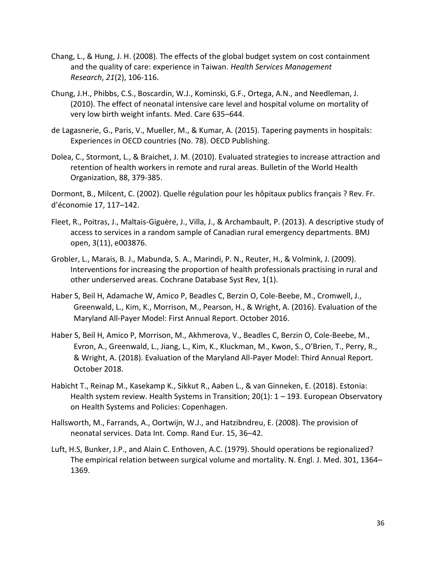- Chang, L., & Hung, J. H. (2008). The effects of the global budget system on cost containment and the quality of care: experience in Taiwan. *Health Services Management Research*, *21*(2), 106-116.
- Chung, J.H., Phibbs, C.S., Boscardin, W.J., Kominski, G.F., Ortega, A.N., and Needleman, J. (2010). The effect of neonatal intensive care level and hospital volume on mortality of very low birth weight infants. Med. Care 635–644.
- de Lagasnerie, G., Paris, V., Mueller, M., & Kumar, A. (2015). Tapering payments in hospitals: Experiences in OECD countries (No. 78). OECD Publishing.
- Dolea, C., Stormont, L., & Braichet, J. M. (2010). Evaluated strategies to increase attraction and retention of health workers in remote and rural areas. Bulletin of the World Health Organization, 88, 379-385.

Dormont, B., Milcent, C. (2002). Quelle régulation pour les hôpitaux publics français ? Rev. Fr. d'économie 17, 117–142.

- Fleet, R., Poitras, J., Maltais-Giguère, J., Villa, J., & Archambault, P. (2013). A descriptive study of access to services in a random sample of Canadian rural emergency departments. BMJ open, 3(11), e003876.
- Grobler, L., Marais, B. J., Mabunda, S. A., Marindi, P. N., Reuter, H., & Volmink, J. (2009). Interventions for increasing the proportion of health professionals practising in rural and other underserved areas. Cochrane Database Syst Rev, 1(1).
- Haber S, Beil H, Adamache W, Amico P, Beadles C, Berzin O, Cole-Beebe, M., Cromwell, J., Greenwald, L., Kim, K., Morrison, M., Pearson, H., & Wright, A. (2016). Evaluation of the Maryland All-Payer Model: First Annual Report. October 2016.
- Haber S, Beil H, Amico P, Morrison, M., Akhmerova, V., Beadles C, Berzin O, Cole-Beebe, M., Evron, A., Greenwald, L., Jiang, L., Kim, K., Kluckman, M., Kwon, S., O'Brien, T., Perry, R., & Wright, A. (2018). Evaluation of the Maryland All-Payer Model: Third Annual Report. October 2018.
- Habicht T., Reinap M., Kasekamp K., Sikkut R., Aaben L., & van Ginneken, E. (2018). Estonia: Health system review. Health Systems in Transition; 20(1): 1 – 193. European Observatory on Health Systems and Policies: Copenhagen.
- Hallsworth, M., Farrands, A., Oortwijn, W.J., and Hatzibndreu, E. (2008). The provision of neonatal services. Data Int. Comp. Rand Eur. 15, 36–42.
- Luft, H.S, Bunker, J.P., and Alain C. Enthoven, A.C. (1979). Should operations be regionalized? The empirical relation between surgical volume and mortality. N. Engl. J. Med. 301, 1364– 1369.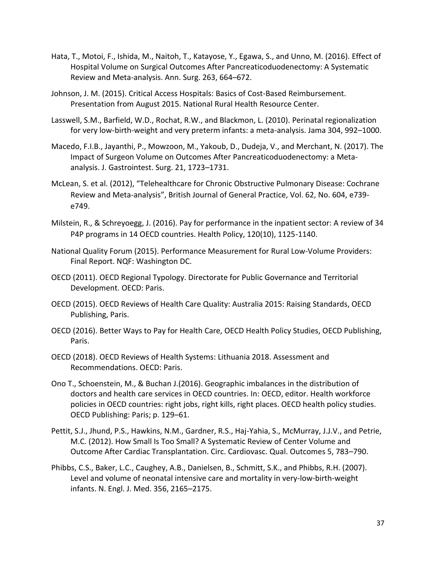- Hata, T., Motoi, F., Ishida, M., Naitoh, T., Katayose, Y., Egawa, S., and Unno, M. (2016). Effect of Hospital Volume on Surgical Outcomes After Pancreaticoduodenectomy: A Systematic Review and Meta-analysis. Ann. Surg. 263, 664–672.
- Johnson, J. M. (2015). Critical Access Hospitals: Basics of Cost-Based Reimbursement. Presentation from August 2015. National Rural Health Resource Center.
- Lasswell, S.M., Barfield, W.D., Rochat, R.W., and Blackmon, L. (2010). Perinatal regionalization for very low-birth-weight and very preterm infants: a meta-analysis. Jama 304, 992–1000.
- Macedo, F.I.B., Jayanthi, P., Mowzoon, M., Yakoub, D., Dudeja, V., and Merchant, N. (2017). The Impact of Surgeon Volume on Outcomes After Pancreaticoduodenectomy: a Metaanalysis. J. Gastrointest. Surg. 21, 1723–1731.
- McLean, S. et al. (2012), "Telehealthcare for Chronic Obstructive Pulmonary Disease: Cochrane Review and Meta-analysis", British Journal of General Practice, Vol. 62, No. 604, e739 e749.
- Milstein, R., & Schreyoegg, J. (2016). Pay for performance in the inpatient sector: A review of 34 P4P programs in 14 OECD countries. Health Policy, 120(10), 1125-1140.
- National Quality Forum (2015). Performance [Measurement](http://www.qualityforum.org/Publications/2015/09/Rural_Health_Final_Report.aspx) for Rural Low-Volume Providers: Final Report. NQF: Washington DC.
- OECD (2011). OECD Regional Typology. Directorate for Public Governance and Territorial Development. OECD: Paris.
- OECD (2015). OECD Reviews of Health Care Quality: Australia 2015: Raising Standards, OECD Publishing, Paris.
- OECD (2016). Better Ways to Pay for Health Care, OECD Health Policy Studies, OECD Publishing, Paris.
- OECD (2018). OECD Reviews of Health Systems: Lithuania 2018. Assessment and Recommendations. OECD: Paris.
- Ono T., Schoenstein, M., & Buchan J.(2016). Geographic imbalances in the distribution of doctors and health care services in OECD countries. In: OECD, editor. Health workforce policies in OECD countries: right jobs, right kills, right places. OECD health policy studies. OECD Publishing: Paris; p. 129–61.
- Pettit, S.J., Jhund, P.S., Hawkins, N.M., Gardner, R.S., Haj-Yahia, S., McMurray, J.J.V., and Petrie, M.C. (2012). How Small Is Too Small? A Systematic Review of Center Volume and Outcome After Cardiac Transplantation. Circ. Cardiovasc. Qual. Outcomes 5, 783–790.
- Phibbs, C.S., Baker, L.C., Caughey, A.B., Danielsen, B., Schmitt, S.K., and Phibbs, R.H. (2007). Level and volume of neonatal intensive care and mortality in very-low-birth-weight infants. N. Engl. J. Med. 356, 2165–2175.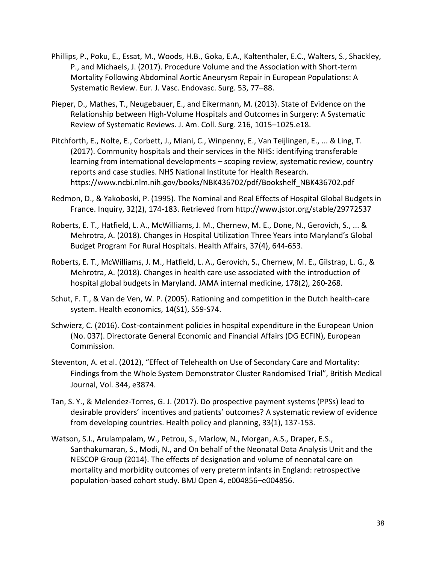- Phillips, P., Poku, E., Essat, M., Woods, H.B., Goka, E.A., Kaltenthaler, E.C., Walters, S., Shackley, P., and Michaels, J. (2017). Procedure Volume and the Association with Short-term Mortality Following Abdominal Aortic Aneurysm Repair in European Populations: A Systematic Review. Eur. J. Vasc. Endovasc. Surg. 53, 77–88.
- Pieper, D., Mathes, T., Neugebauer, E., and Eikermann, M. (2013). State of Evidence on the Relationship between High-Volume Hospitals and Outcomes in Surgery: A Systematic Review of Systematic Reviews. J. Am. Coll. Surg. 216, 1015–1025.e18.
- Pitchforth, E., Nolte, E., Corbett, J., Miani, C., Winpenny, E., Van Teijlingen, E., ... & Ling, T. (2017). Community hospitals and their services in the NHS: identifying transferable learning from international developments – scoping review, systematic review, country reports and case studies. NHS National Institute for Health Research. https://www.ncbi.nlm.nih.gov/books/NBK436702/pdf/Bookshelf\_NBK436702.pdf
- Redmon, D., & Yakoboski, P. (1995). The Nominal and Real Effects of Hospital Global Budgets in France. Inquiry, 32(2), 174-183. Retrieved from<http://www.jstor.org/stable/29772537>
- Roberts, E. T., Hatfield, L. A., McWilliams, J. M., Chernew, M. E., Done, N., Gerovich, S., ... & Mehrotra, A. (2018). Changes in Hospital Utilization Three Years into Maryland's Global Budget Program For Rural Hospitals. Health Affairs, 37(4), 644-653.
- Roberts, E. T., McWilliams, J. M., Hatfield, L. A., Gerovich, S., Chernew, M. E., Gilstrap, L. G., & Mehrotra, A. (2018). Changes in health care use associated with the introduction of hospital global budgets in Maryland. JAMA internal medicine, 178(2), 260-268.
- Schut, F. T., & Van de Ven, W. P. (2005). Rationing and competition in the Dutch health‐care system. Health economics, 14(S1), S59-S74.
- Schwierz, C. (2016). Cost-containment policies in hospital expenditure in the European Union (No. 037). Directorate General Economic and Financial Affairs (DG ECFIN), European Commission.
- Steventon, A. et al. (2012), "Effect of Telehealth on Use of Secondary Care and Mortality: Findings from the Whole System Demonstrator Cluster Randomised Trial", British Medical Journal, Vol. 344, e3874.
- Tan, S. Y., & Melendez-Torres, G. J. (2017). Do prospective payment systems (PPSs) lead to desirable providers' incentives and patients' outcomes? A systematic review of evidence from developing countries. Health policy and planning, 33(1), 137-153.
- Watson, S.I., Arulampalam, W., Petrou, S., Marlow, N., Morgan, A.S., Draper, E.S., Santhakumaran, S., Modi, N., and On behalf of the Neonatal Data Analysis Unit and the NESCOP Group (2014). The effects of designation and volume of neonatal care on mortality and morbidity outcomes of very preterm infants in England: retrospective population-based cohort study. BMJ Open 4, e004856–e004856.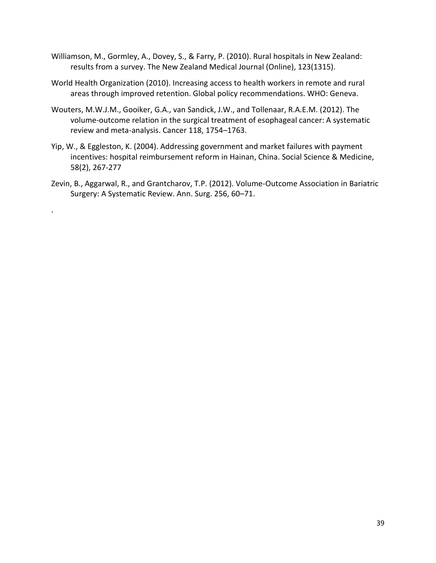- Williamson, M., Gormley, A., Dovey, S., & Farry, P. (2010). Rural hospitals in New Zealand: results from a survey. The New Zealand Medical Journal (Online), 123(1315).
- World Health Organization (2010). Increasing access to health workers in remote and rural areas through improved retention. Global policy recommendations. WHO: Geneva.
- Wouters, M.W.J.M., Gooiker, G.A., van Sandick, J.W., and Tollenaar, R.A.E.M. (2012). The volume-outcome relation in the surgical treatment of esophageal cancer: A systematic review and meta-analysis. Cancer 118, 1754–1763.
- Yip, W., & Eggleston, K. (2004). Addressing government and market failures with payment incentives: hospital reimbursement reform in Hainan, China. Social Science & Medicine, 58(2), 267-277
- Zevin, B., Aggarwal, R., and Grantcharov, T.P. (2012). Volume-Outcome Association in Bariatric Surgery: A Systematic Review. Ann. Surg. 256, 60–71.

.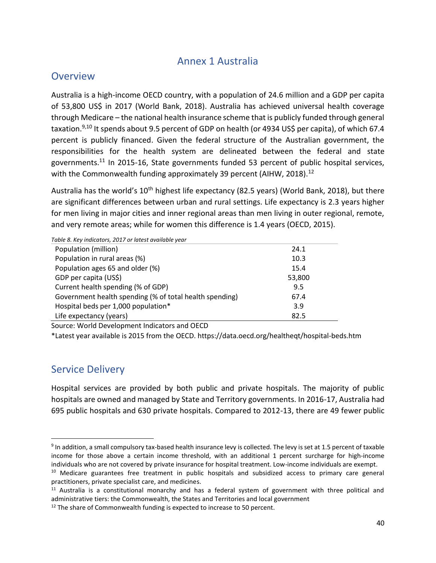### Annex 1 Australia

#### <span id="page-39-0"></span>**Overview**

Australia is a high-income OECD country, with a population of 24.6 million and a GDP per capita of 53,800 US\$ in 2017 (World Bank, 2018). Australia has achieved universal health coverage through Medicare – the national health insurance scheme that is publicly funded through general taxation.<sup>9,10</sup> It spends about 9.5 percent of GDP on health (or 4934 US\$ per capita), of which 67.4 percent is publicly financed. Given the federal structure of the Australian government, the responsibilities for the health system are delineated between the federal and state governments.<sup>11</sup> In 2015-16, State governments funded 53 percent of public hospital services, with the Commonwealth funding approximately 39 percent (AIHW, 2018).<sup>12</sup>

Australia has the world's 10<sup>th</sup> highest life expectancy (82.5 years) (World Bank, 2018), but there are significant differences between urban and rural settings. Life expectancy is 2.3 years higher for men living in major cities and inner regional areas than men living in outer regional, remote, and very remote areas; while for women this difference is 1.4 years (OECD, 2015).

| Table 8. Key indicators, 2017 or latest available year  |        |
|---------------------------------------------------------|--------|
| Population (million)                                    | 24.1   |
| Population in rural areas (%)                           | 10.3   |
| Population ages 65 and older (%)                        | 15.4   |
| GDP per capita (US\$)                                   | 53,800 |
| Current health spending (% of GDP)                      | 9.5    |
| Government health spending (% of total health spending) | 67.4   |
| Hospital beds per 1,000 population*                     | 3.9    |
| Life expectancy (years)                                 | 82.5   |
|                                                         |        |

Source: World Development Indicators and OECD

\*Latest year available is 2015 from the OECD. https://data.oecd.org/healtheqt/hospital-beds.htm

### Service Delivery

 $\overline{a}$ 

Hospital services are provided by both public and private hospitals. The majority of public hospitals are owned and managed by State and Territory governments. In 2016-17, Australia had 695 public hospitals and 630 private hospitals. Compared to 2012-13, there are 49 fewer public

 $9$  In addition, a small compulsory tax-based health insurance levy is collected. The levy is set at 1.5 percent of taxable income for those above a certain income threshold, with an additional 1 percent surcharge for high-income individuals who are not covered by private insurance for hospital treatment. Low-income individuals are exempt.

<sup>&</sup>lt;sup>10</sup> Medicare guarantees free treatment in public hospitals and subsidized access to primary care general practitioners, private specialist care, and medicines.

 $11$  Australia is a constitutional monarchy and has a federal system of government with three political and administrative tiers: the Commonwealth, the States and Territories and local government

 $12$  The share of Commonwealth funding is expected to increase to 50 percent.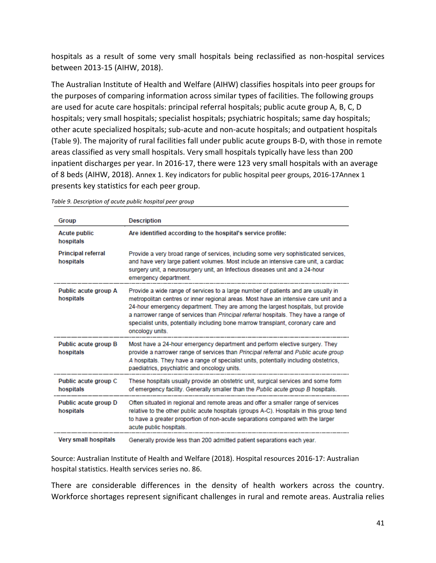hospitals as a result of some very small hospitals being reclassified as non-hospital services between 2013-15 (AIHW, 2018).

The Australian Institute of Health and Welfare (AIHW) classifies hospitals into peer groups for the purposes of comparing information across similar types of facilities. The following groups are used for acute care hospitals: principal referral hospitals; public acute group A, B, C, D hospitals; very small hospitals; specialist hospitals; psychiatric hospitals; same day hospitals; other acute specialized hospitals; sub-acute and non-acute hospitals; and outpatient hospitals ([Table 9](#page-40-0)). The majority of rural facilities fall under public acute groups B-D, with those in remote areas classified as very small hospitals. Very small hospitals typically have less than 200 inpatient discharges per year. In 2016-17, there were 123 very small hospitals with an average of 8 beds (AIHW, 2018). Annex 1. [Key indicators for public hospital peer groups, 2016-17Annex 1](#page-49-0) presents key statistics for each peer group.

| Group                                  | <b>Description</b>                                                                                                                                                                                                                                                                                                                                                                                                                                           |
|----------------------------------------|--------------------------------------------------------------------------------------------------------------------------------------------------------------------------------------------------------------------------------------------------------------------------------------------------------------------------------------------------------------------------------------------------------------------------------------------------------------|
| <b>Acute public</b><br>hospitals       | Are identified according to the hospital's service profile:                                                                                                                                                                                                                                                                                                                                                                                                  |
| <b>Principal referral</b><br>hospitals | Provide a very broad range of services, including some very sophisticated services,<br>and have very large patient volumes. Most include an intensive care unit, a cardiac<br>surgery unit, a neurosurgery unit, an Infectious diseases unit and a 24-hour<br>emergency department.                                                                                                                                                                          |
| Public acute group A<br>hospitals      | Provide a wide range of services to a large number of patients and are usually in<br>metropolitan centres or inner regional areas. Most have an intensive care unit and a<br>24-hour emergency department. They are among the largest hospitals, but provide<br>a narrower range of services than Principal referral hospitals. They have a range of<br>specialist units, potentially including bone marrow transplant, coronary care and<br>oncology units. |
| Public acute group B<br>hospitals      | Most have a 24-hour emergency department and perform elective surgery. They<br>provide a narrower range of services than Principal referral and Public acute group<br>A hospitals. They have a range of specialist units, potentially including obstetrics,<br>paediatrics, psychiatric and oncology units.                                                                                                                                                  |
| Public acute group C<br>hospitals      | These hospitals usually provide an obstetric unit, surgical services and some form<br>of emergency facility. Generally smaller than the Public acute group B hospitals.                                                                                                                                                                                                                                                                                      |
| Public acute group D<br>hospitals      | Often situated in regional and remote areas and offer a smaller range of services<br>relative to the other public acute hospitals (groups A-C). Hospitals in this group tend<br>to have a greater proportion of non-acute separations compared with the larger<br>acute public hospitals.                                                                                                                                                                    |
| <b>Very small hospitals</b>            | Generally provide less than 200 admitted patient separations each year.                                                                                                                                                                                                                                                                                                                                                                                      |

<span id="page-40-0"></span>*Table 9. Description of acute public hospital peer group* 

Source: Australian Institute of Health and Welfare (2018). Hospital resources 2016-17: Australian hospital statistics. Health services series no. 86.

There are considerable differences in the density of health workers across the country. Workforce shortages represent significant challenges in rural and remote areas. Australia relies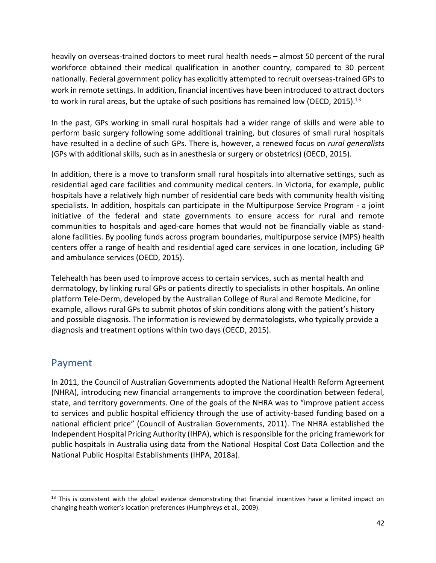heavily on overseas-trained doctors to meet rural health needs – almost 50 percent of the rural workforce obtained their medical qualification in another country, compared to 30 percent nationally. Federal government policy has explicitly attempted to recruit overseas-trained GPs to work in remote settings. In addition, financial incentives have been introduced to attract doctors to work in rural areas, but the uptake of such positions has remained low (OECD, 2015).<sup>13</sup>

In the past, GPs working in small rural hospitals had a wider range of skills and were able to perform basic surgery following some additional training, but closures of small rural hospitals have resulted in a decline of such GPs. There is, however, a renewed focus on *rural generalists*  (GPs with additional skills, such as in anesthesia or surgery or obstetrics) (OECD, 2015).

In addition, there is a move to transform small rural hospitals into alternative settings, such as residential aged care facilities and community medical centers. In Victoria, for example, public hospitals have a relatively high number of residential care beds with community health visiting specialists. In addition, hospitals can participate in the Multipurpose Service Program - a joint initiative of the federal and state governments to ensure access for rural and remote communities to hospitals and aged-care homes that would not be financially viable as standalone facilities. By pooling funds across program boundaries, multipurpose service (MPS) health centers offer a range of health and residential aged care services in one location, including GP and ambulance services (OECD, 2015).

Telehealth has been used to improve access to certain services, such as mental health and dermatology, by linking rural GPs or patients directly to specialists in other hospitals. An online platform Tele-Derm, developed by the Australian College of Rural and Remote Medicine, for example, allows rural GPs to submit photos of skin conditions along with the patient's history and possible diagnosis. The information is reviewed by dermatologists, who typically provide a diagnosis and treatment options within two days (OECD, 2015).

#### Payment

 $\overline{\phantom{a}}$ 

In 2011, the Council of Australian Governments adopted the National Health Reform Agreement (NHRA), introducing new financial arrangements to improve the coordination between federal, state, and territory governments. One of the goals of the NHRA was to "improve patient access to services and public hospital efficiency through the use of activity-based funding based on a national efficient price" (Council of Australian Governments, 2011). The NHRA established the Independent Hospital Pricing Authority (IHPA), which is responsible for the pricing framework for public hospitals in Australia using data from the National Hospital Cost Data Collection and the National Public Hospital Establishments (IHPA, 2018a).

 $13$  This is consistent with the global evidence demonstrating that financial incentives have a limited impact on changing health worker's location preferences (Humphreys et al., 2009).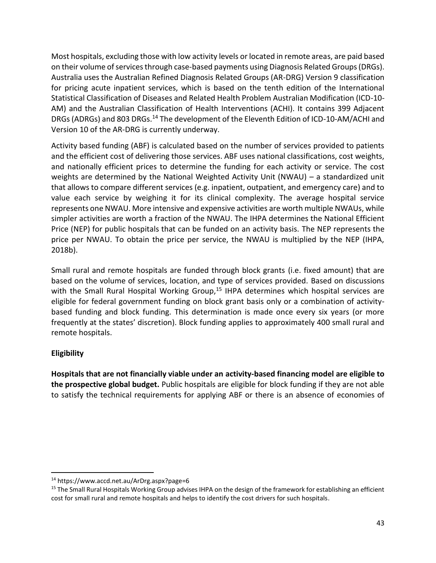Most hospitals, excluding those with low activity levels or located in remote areas, are paid based on their volume of services through case-based payments using Diagnosis Related Groups (DRGs). Australia uses the Australian Refined Diagnosis Related Groups (AR-DRG) Version 9 classification for pricing acute inpatient services, which is based on the tenth edition of the International Statistical Classification of Diseases and Related Health Problem Australian Modification (ICD-10- AM) and the Australian Classification of Health Interventions (ACHI). It contains 399 Adjacent DRGs (ADRGs) and 803 DRGs.<sup>14</sup> The development of the Eleventh Edition of ICD-10-AM/ACHI and Version 10 of the AR-DRG is currently underway.

Activity based funding (ABF) is calculated based on the number of services provided to patients and the efficient cost of delivering those services. ABF uses national classifications, cost weights, and nationally efficient prices to determine the funding for each activity or service. The cost weights are determined by the National Weighted Activity Unit (NWAU) – a standardized unit that allows to compare different services (e.g. inpatient, outpatient, and emergency care) and to value each service by weighing it for its clinical complexity. The average hospital service represents one NWAU. More intensive and expensive activities are worth multiple NWAUs, while simpler activities are worth a fraction of the NWAU. The IHPA determines the National Efficient Price (NEP) for public hospitals that can be funded on an activity basis. The NEP represents the price per NWAU. To obtain the price per service, the NWAU is multiplied by the NEP (IHPA, 2018b).

Small rural and remote hospitals are funded through block grants (i.e. fixed amount) that are based on the volume of services, location, and type of services provided. Based on discussions with the Small Rural Hospital Working Group,<sup>15</sup> IHPA determines which hospital services are eligible for federal government funding on block grant basis only or a combination of activitybased funding and block funding. This determination is made once every six years (or more frequently at the states' discretion). Block funding applies to approximately 400 small rural and remote hospitals.

#### **Eligibility**

 $\overline{a}$ 

**Hospitals that are not financially viable under an activity-based financing model are eligible to the prospective global budget.** Public hospitals are eligible for block funding if they are not able to satisfy the technical requirements for applying ABF or there is an absence of economies of

<sup>14</sup> https://www.accd.net.au/ArDrg.aspx?page=6

<sup>&</sup>lt;sup>15</sup> The Small Rural Hospitals Working Group advises IHPA on the design of the framework for establishing an efficient cost for small rural and remote hospitals and helps to identify the cost drivers for such hospitals.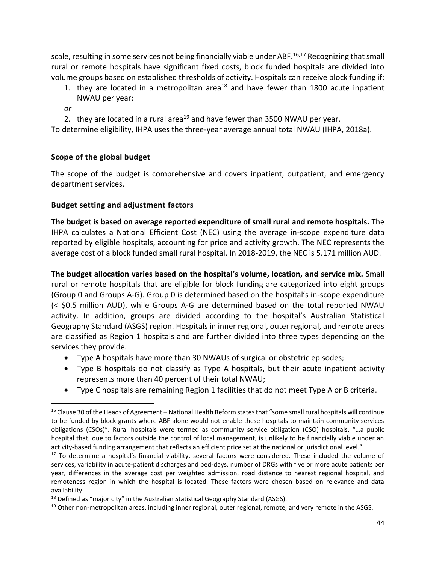scale, resulting in some services not being financially viable under ABF.<sup>16,17</sup> Recognizing that small rural or remote hospitals have significant fixed costs, block funded hospitals are divided into volume groups based on established thresholds of activity. Hospitals can receive block funding if:

- 1. they are located in a metropolitan area<sup>18</sup> and have fewer than 1800 acute inpatient NWAU per year;
- *or*

 $\overline{\phantom{a}}$ 

2. they are located in a rural area<sup>19</sup> and have fewer than 3500 NWAU per year.

To determine eligibility, IHPA uses the three-year average annual total NWAU (IHPA, 2018a).

#### **Scope of the global budget**

The scope of the budget is comprehensive and covers inpatient, outpatient, and emergency department services.

#### **Budget setting and adjustment factors**

**The budget is based on average reported expenditure of small rural and remote hospitals.** The IHPA calculates a National Efficient Cost (NEC) using the average in-scope expenditure data reported by eligible hospitals, accounting for price and activity growth. The NEC represents the average cost of a block funded small rural hospital. In 2018-2019, the NEC is 5.171 million AUD.

**The budget allocation varies based on the hospital's volume, location, and service mix.** Small rural or remote hospitals that are eligible for block funding are categorized into eight groups (Group 0 and Groups A-G). Group 0 is determined based on the hospital's in-scope expenditure (< \$0.5 million AUD), while Groups A-G are determined based on the total reported NWAU activity. In addition, groups are divided according to the hospital's Australian Statistical Geography Standard (ASGS) region. Hospitals in inner regional, outer regional, and remote areas are classified as Region 1 hospitals and are further divided into three types depending on the services they provide.

- Type A hospitals have more than 30 NWAUs of surgical or obstetric episodes;
- Type B hospitals do not classify as Type A hospitals, but their acute inpatient activity represents more than 40 percent of their total NWAU;
- Type C hospitals are remaining Region 1 facilities that do not meet Type A or B criteria.

 $16$  Clause 30 of the Heads of Agreement – National Health Reform states that "some small rural hospitals will continue to be funded by block grants where ABF alone would not enable these hospitals to maintain community services obligations (CSOs)". Rural hospitals were termed as community service obligation (CSO) hospitals, "…a public hospital that, due to factors outside the control of local management, is unlikely to be financially viable under an activity-based funding arrangement that reflects an efficient price set at the national or jurisdictional level."

<sup>&</sup>lt;sup>17</sup> To determine a hospital's financial viability, several factors were considered. These included the volume of services, variability in acute-patient discharges and bed-days, number of DRGs with five or more acute patients per year, differences in the average cost per weighted admission, road distance to nearest regional hospital, and remoteness region in which the hospital is located. These factors were chosen based on relevance and data availability.

 $18$  Defined as "major city" in the Australian Statistical Geography Standard (ASGS).

<sup>&</sup>lt;sup>19</sup> Other non-metropolitan areas, including inner regional, outer regional, remote, and very remote in the ASGS.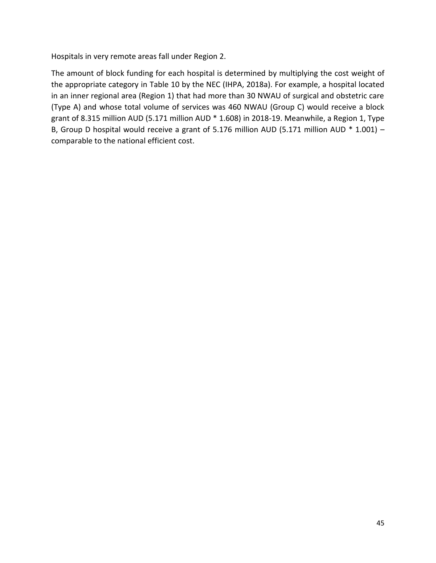Hospitals in very remote areas fall under Region 2.

The amount of block funding for each hospital is determined by multiplying the cost weight of the appropriate category in [Table 10](#page-45-0) by the NEC (IHPA, 2018a). For example, a hospital located in an inner regional area (Region 1) that had more than 30 NWAU of surgical and obstetric care (Type A) and whose total volume of services was 460 NWAU (Group C) would receive a block grant of 8.315 million AUD (5.171 million AUD \* 1.608) in 2018-19. Meanwhile, a Region 1, Type B, Group D hospital would receive a grant of 5.176 million AUD (5.171 million AUD  $*$  1.001) – comparable to the national efficient cost.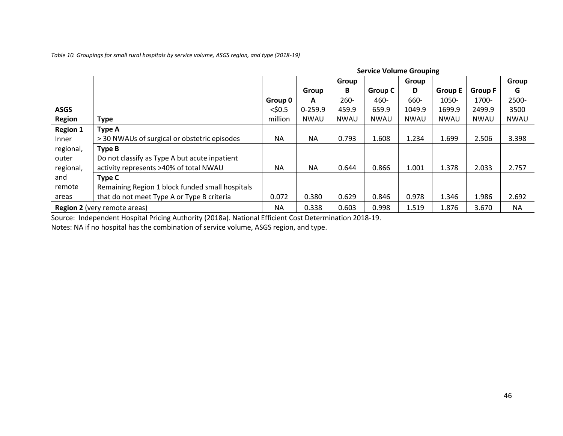*Table 10. Groupings for small rural hospitals by service volume, ASGS region, and type (2018-19)*

|                                                                                      | <b>Service Volume Grouping</b>                  |           |             |       |                |             |                |                |             |
|--------------------------------------------------------------------------------------|-------------------------------------------------|-----------|-------------|-------|----------------|-------------|----------------|----------------|-------------|
|                                                                                      |                                                 |           |             | Group |                | Group       |                |                | Group       |
|                                                                                      |                                                 |           | Group       | В     | <b>Group C</b> | D           | <b>Group E</b> | <b>Group F</b> | G           |
|                                                                                      |                                                 | Group 0   | A           | 260-  | 460-           | 660-        | 1050-          | 1700-          | 2500-       |
| <b>ASGS</b>                                                                          |                                                 | $<$ \$0.5 | $0 - 259.9$ | 459.9 | 659.9          | 1049.9      | 1699.9         | 2499.9         | 3500        |
| <b>Region</b>                                                                        | <b>Type</b>                                     | million   | <b>NWAU</b> | NWAU  | <b>NWAU</b>    | <b>NWAU</b> | <b>NWAU</b>    | NWAU           | <b>NWAU</b> |
| <b>Region 1</b>                                                                      | Type A                                          |           |             |       |                |             |                |                |             |
| Inner                                                                                | > 30 NWAUs of surgical or obstetric episodes    | <b>NA</b> | <b>NA</b>   | 0.793 | 1.608          | 1.234       | 1.699          | 2.506          | 3.398       |
| regional,                                                                            | Type B                                          |           |             |       |                |             |                |                |             |
| outer                                                                                | Do not classify as Type A but acute inpatient   |           |             |       |                |             |                |                |             |
| regional,                                                                            | activity represents >40% of total NWAU          | <b>NA</b> | <b>NA</b>   | 0.644 | 0.866          | 1.001       | 1.378          | 2.033          | 2.757       |
| and                                                                                  | Type C                                          |           |             |       |                |             |                |                |             |
| remote                                                                               | Remaining Region 1 block funded small hospitals |           |             |       |                |             |                |                |             |
| areas                                                                                | that do not meet Type A or Type B criteria      | 0.072     | 0.380       | 0.629 | 0.846          | 0.978       | 1.346          | 1.986          | 2.692       |
| 0.603<br>1.519<br><b>NA</b><br>0.338<br>0.998<br><b>Region 2</b> (very remote areas) |                                                 |           |             |       |                | 1.876       | 3.670          | <b>NA</b>      |             |

<span id="page-45-0"></span>Source: Independent Hospital Pricing Authority (2018a). National Efficient Cost Determination 2018-19.

Notes: NA if no hospital has the combination of service volume, ASGS region, and type.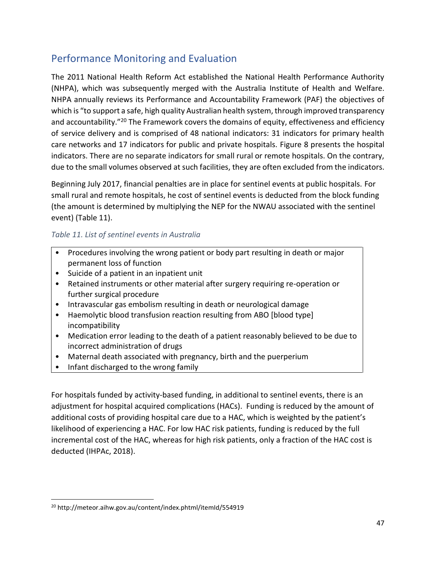### Performance Monitoring and Evaluation

The 2011 National Health Reform Act established the National Health Performance Authority (NHPA), which was subsequently merged with the Australia Institute of Health and Welfare. NHPA annually reviews its Performance and Accountability Framework (PAF) the objectives of which is "to support a safe, high quality Australian health system, through improved transparency and accountability."<sup>20</sup> The Framework covers the domains of equity, effectiveness and efficiency of service delivery and is comprised of 48 national indicators: 31 indicators for primary health care networks and 17 indicators for public and private hospitals. [Figure 8](#page-47-0) presents the hospital indicators. There are no separate indicators for small rural or remote hospitals. On the contrary, due to the small volumes observed at such facilities, they are often excluded from the indicators.

Beginning July 2017, financial penalties are in place for sentinel events at public hospitals. For small rural and remote hospitals, he cost of sentinel events is deducted from the block funding (the amount is determined by multiplying the NEP for the NWAU associated with the sentinel event) [\(Table 11\)](#page-46-0).

#### <span id="page-46-0"></span>*Table 11. List of sentinel events in Australia*

- Procedures involving the wrong patient or body part resulting in death or major permanent loss of function
- Suicide of a patient in an inpatient unit
- Retained instruments or other material after surgery requiring re-operation or further surgical procedure
- Intravascular gas embolism resulting in death or neurological damage
- Haemolytic blood transfusion reaction resulting from ABO [blood type] incompatibility
- Medication error leading to the death of a patient reasonably believed to be due to incorrect administration of drugs
- Maternal death associated with pregnancy, birth and the puerperium
- Infant discharged to the wrong family

For hospitals funded by activity-based funding, in additional to sentinel events, there is an adjustment for hospital acquired complications (HACs). Funding is reduced by the amount of additional costs of providing hospital care due to a HAC, which is weighted by the patient's likelihood of experiencing a HAC. For low HAC risk patients, funding is reduced by the full incremental cost of the HAC, whereas for high risk patients, only a fraction of the HAC cost is deducted (IHPAc, 2018).

 $\overline{\phantom{a}}$ 

<sup>20</sup> http://meteor.aihw.gov.au/content/index.phtml/itemId/554919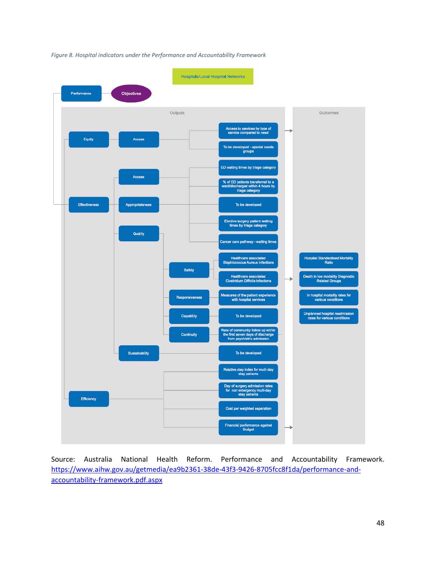

<span id="page-47-0"></span>*Figure 8. Hospital indicators under the Performance and Accountability Framework*

Source: Australia National Health Reform. Performance and Accountability Framework. [https://www.aihw.gov.au/getmedia/ea9b2361-38de-43f3-9426-8705fcc8f1da/performance-and](https://www.aihw.gov.au/getmedia/ea9b2361-38de-43f3-9426-8705fcc8f1da/performance-and-accountability-framework.pdf.aspx)[accountability-framework.pdf.aspx](https://www.aihw.gov.au/getmedia/ea9b2361-38de-43f3-9426-8705fcc8f1da/performance-and-accountability-framework.pdf.aspx)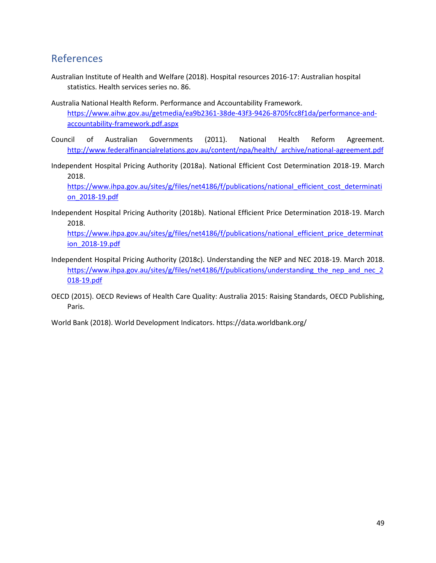### References

- Australian Institute of Health and Welfare (2018). Hospital resources 2016-17: Australian hospital statistics. Health services series no. 86.
- Australia National Health Reform. Performance and Accountability Framework. [https://www.aihw.gov.au/getmedia/ea9b2361-38de-43f3-9426-8705fcc8f1da/performance-and](https://www.aihw.gov.au/getmedia/ea9b2361-38de-43f3-9426-8705fcc8f1da/performance-and-accountability-framework.pdf.aspx)[accountability-framework.pdf.aspx](https://www.aihw.gov.au/getmedia/ea9b2361-38de-43f3-9426-8705fcc8f1da/performance-and-accountability-framework.pdf.aspx)
- Council of Australian Governments (2011). National Health Reform Agreement. [http://www.federalfinancialrelations.gov.au/content/npa/health/\\_archive/national-agreement.pdf](http://www.federalfinancialrelations.gov.au/content/npa/health/_archive/national-agreement.pdf)
- Independent Hospital Pricing Authority (2018a). National Efficient Cost Determination 2018-19. March 2018.

[https://www.ihpa.gov.au/sites/g/files/net4186/f/publications/national\\_efficient\\_cost\\_determinati](https://www.ihpa.gov.au/sites/g/files/net4186/f/publications/national_efficient_cost_determination_2018-19.pdf) [on\\_2018-19.pdf](https://www.ihpa.gov.au/sites/g/files/net4186/f/publications/national_efficient_cost_determination_2018-19.pdf)

Independent Hospital Pricing Authority (2018b). National Efficient Price Determination 2018-19. March 2018.

[https://www.ihpa.gov.au/sites/g/files/net4186/f/publications/national\\_efficient\\_price\\_determinat](https://www.ihpa.gov.au/sites/g/files/net4186/f/publications/national_efficient_price_determination_2018-19.pdf) [ion\\_2018-19.pdf](https://www.ihpa.gov.au/sites/g/files/net4186/f/publications/national_efficient_price_determination_2018-19.pdf)

- Independent Hospital Pricing Authority (2018c). Understanding the NEP and NEC 2018-19. March 2018. https://www.ihpa.gov.au/sites/g/files/net4186/f/publications/understanding the nep and nec 2 [018-19.pdf](https://www.ihpa.gov.au/sites/g/files/net4186/f/publications/understanding_the_nep_and_nec_2018-19.pdf)
- OECD (2015). OECD Reviews of Health Care Quality: Australia 2015: Raising Standards, OECD Publishing, Paris.

World Bank (2018). World Development Indicators. https://data.worldbank.org/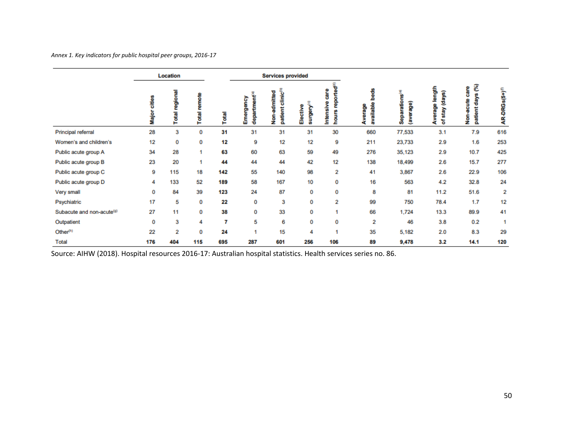*Annex 1. Key indicators for public hospital peer groups, 2016-17*

|                                       | Location<br><b>Services provided</b> |                |                 |       |                                        |                                                   |                                    |                                                       |                              |                                         |                                          |                                           |                            |
|---------------------------------------|--------------------------------------|----------------|-----------------|-------|----------------------------------------|---------------------------------------------------|------------------------------------|-------------------------------------------------------|------------------------------|-----------------------------------------|------------------------------------------|-------------------------------------------|----------------------------|
|                                       | cities<br><b>Major</b>               | Total regional | remote<br>Total | Total | department <sup>(a)</sup><br>Emergency | clinic <sup>(b)</sup><br>admitted<br>patient<br>å | surgery <sup>(c)</sup><br>Elective | reported <sup>(d)</sup><br>care<br>Intensive<br>hours | beds<br>available<br>Average | Separations <sup>(e)</sup><br>(average) | length<br>(days)<br>Average<br>stay<br>ቴ | E<br>care<br>days<br>Non-acute<br>patient | AR-DRGs(5+) <sup>(1)</sup> |
| Principal referral                    | 28                                   | 3              | 0               | 31    | 31                                     | 31                                                | 31                                 | 30                                                    | 660                          | 77,533                                  | 3.1                                      | 7.9                                       | 616                        |
| Women's and children's                | 12                                   | 0              | 0               | 12    | 9                                      | 12                                                | 12                                 | 9                                                     | 211                          | 23,733                                  | 2.9                                      | 1.6                                       | 253                        |
| Public acute group A                  | 34                                   | 28             | 1               | 63    | 60                                     | 63                                                | 59                                 | 49                                                    | 276                          | 35,123                                  | 2.9                                      | 10.7                                      | 425                        |
| Public acute group B                  | 23                                   | 20             | 1               | 44    | 44                                     | 44                                                | 42                                 | 12                                                    | 138                          | 18,499                                  | 2.6                                      | 15.7                                      | 277                        |
| Public acute group C                  | 9                                    | 115            | 18              | 142   | 55                                     | 140                                               | 98                                 | 2                                                     | 41                           | 3,867                                   | 2.6                                      | 22.9                                      | 106                        |
| Public acute group D                  | 4                                    | 133            | 52              | 189   | 58                                     | 167                                               | 10                                 | 0                                                     | 16                           | 563                                     | 4.2                                      | 32.8                                      | 24                         |
| Very small                            | 0                                    | 84             | 39              | 123   | 24                                     | 87                                                | 0                                  | 0                                                     | 8                            | 81                                      | 11.2                                     | 51.6                                      | 2                          |
| Psychiatric                           | 17                                   | 5              | 0               | 22    | 0                                      | 3                                                 | 0                                  | 2                                                     | 99                           | 750                                     | 78.4                                     | 1.7                                       | 12                         |
| Subacute and non-acute <sup>(9)</sup> | 27                                   | 11             | 0               | 38    | 0                                      | 33                                                | 0                                  | 1                                                     | 66                           | 1,724                                   | 13.3                                     | 89.9                                      | 41                         |
| Outpatient                            | 0                                    | 3              | 4               | 7     | 5                                      | 6                                                 | 0                                  | 0                                                     | 2                            | 46                                      | 3.8                                      | 0.2                                       | 1                          |
| Other <sup>(h)</sup>                  | 22                                   | 2              | 0               | 24    |                                        | 15                                                | 4                                  | 1                                                     | 35                           | 5,182                                   | 2.0                                      | 8.3                                       | 29                         |
| Total                                 | 176                                  | 404            | 115             | 695   | 287                                    | 601                                               | 256                                | 106                                                   | 89                           | 9,478                                   | 3.2                                      | 14.1                                      | 120                        |

<span id="page-49-0"></span>Source: AIHW (2018). Hospital resources 2016-17: Australian hospital statistics. Health services series no. 86.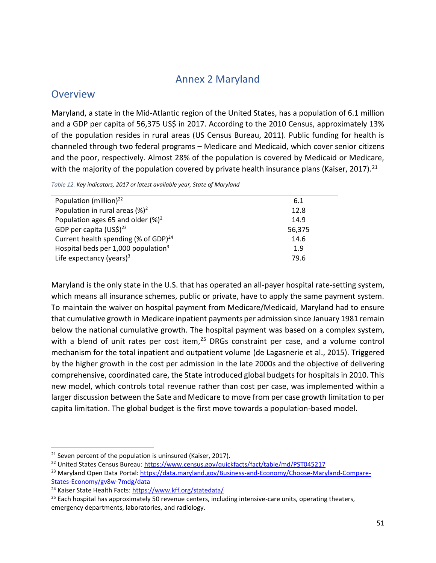### Annex 2 Maryland

#### <span id="page-50-0"></span>**Overview**

Maryland, a state in the Mid-Atlantic region of the United States, has a population of 6.1 million and a GDP per capita of 56,375 US\$ in 2017. According to the 2010 Census, approximately 13% of the population resides in rural areas (US Census Bureau, 2011). Public funding for health is channeled through two federal programs – Medicare and Medicaid, which cover senior citizens and the poor, respectively. Almost 28% of the population is covered by Medicaid or Medicare, with the majority of the population covered by private health insurance plans (Kaiser, 2017).<sup>21</sup>

*Table 12. Key indicators, 2017 or latest available year, State of Maryland*

| 6.1    |
|--------|
| 12.8   |
| 14.9   |
| 56,375 |
| 14.6   |
| 1.9    |
| 79.6   |
|        |

Maryland is the only state in the U.S. that has operated an all-payer hospital rate-setting system, which means all insurance schemes, public or private, have to apply the same payment system. To maintain the waiver on hospital payment from Medicare/Medicaid, Maryland had to ensure that cumulative growth in Medicare inpatient payments per admission since January 1981 remain below the national cumulative growth. The hospital payment was based on a complex system, with a blend of unit rates per cost item, $25$  DRGs constraint per case, and a volume control mechanism for the total inpatient and outpatient volume (de Lagasnerie et al., 2015). Triggered by the higher growth in the cost per admission in the late 2000s and the objective of delivering comprehensive, coordinated care, the State introduced global budgets for hospitals in 2010. This new model, which controls total revenue rather than cost per case, was implemented within a larger discussion between the Sate and Medicare to move from per case growth limitation to per capita limitation. The global budget is the first move towards a population-based model.

 $\overline{\phantom{a}}$ 

 $21$  Seven percent of the population is uninsured (Kaiser, 2017).

<sup>&</sup>lt;sup>22</sup> United States Census Bureau:<https://www.census.gov/quickfacts/fact/table/md/PST045217>

<sup>23</sup> Maryland Open Data Portal: [https://data.maryland.gov/Business-and-Economy/Choose-Maryland-Compare-](https://data.maryland.gov/Business-and-Economy/Choose-Maryland-Compare-States-Economy/gv8w-7mdg/data)[States-Economy/gv8w-7mdg/data](https://data.maryland.gov/Business-and-Economy/Choose-Maryland-Compare-States-Economy/gv8w-7mdg/data)

<sup>24</sup> Kaiser State Health Facts:<https://www.kff.org/statedata/>

 $25$  Each hospital has approximately 50 revenue centers, including intensive-care units, operating theaters, emergency departments, laboratories, and radiology.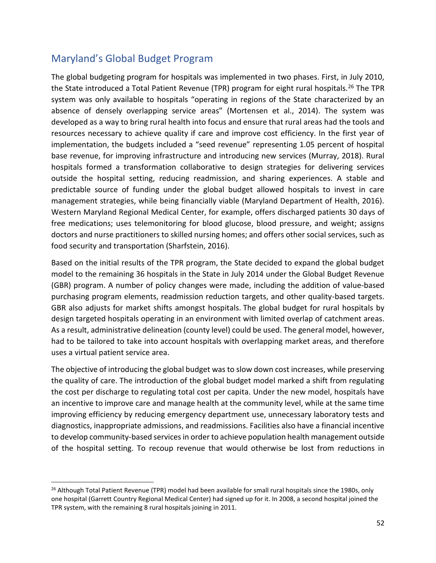### Maryland's Global Budget Program

 $\overline{a}$ 

The global budgeting program for hospitals was implemented in two phases. First, in July 2010, the State introduced a Total Patient Revenue (TPR) program for eight rural hospitals.<sup>26</sup> The TPR system was only available to hospitals "operating in regions of the State characterized by an absence of densely overlapping service areas" (Mortensen et al., 2014). The system was developed as a way to bring rural health into focus and ensure that rural areas had the tools and resources necessary to achieve quality if care and improve cost efficiency. In the first year of implementation, the budgets included a "seed revenue" representing 1.05 percent of hospital base revenue, for improving infrastructure and introducing new services (Murray, 2018). Rural hospitals formed a transformation collaborative to design strategies for delivering services outside the hospital setting, reducing readmission, and sharing experiences. A stable and predictable source of funding under the global budget allowed hospitals to invest in care management strategies, while being financially viable (Maryland Department of Health, 2016). Western Maryland Regional Medical Center, for example, offers discharged patients 30 days of free medications; uses telemonitoring for blood glucose, blood pressure, and weight; assigns doctors and nurse practitioners to skilled nursing homes; and offers other social services, such as food security and transportation (Sharfstein, 2016).

Based on the initial results of the TPR program, the State decided to expand the global budget model to the remaining 36 hospitals in the State in July 2014 under the Global Budget Revenue (GBR) program. A number of policy changes were made, including the addition of value-based purchasing program elements, readmission reduction targets, and other quality-based targets. GBR also adjusts for market shifts amongst hospitals. The global budget for rural hospitals by design targeted hospitals operating in an environment with limited overlap of catchment areas. As a result, administrative delineation (county level) could be used. The general model, however, had to be tailored to take into account hospitals with overlapping market areas, and therefore uses a virtual patient service area.

The objective of introducing the global budget was to slow down cost increases, while preserving the quality of care. The introduction of the global budget model marked a shift from regulating the cost per discharge to regulating total cost per capita. Under the new model, hospitals have an incentive to improve care and manage health at the community level, while at the same time improving efficiency by reducing emergency department use, unnecessary laboratory tests and diagnostics, inappropriate admissions, and readmissions. Facilities also have a financial incentive to develop community-based services in order to achieve population health management outside of the hospital setting. To recoup revenue that would otherwise be lost from reductions in

<sup>&</sup>lt;sup>26</sup> Although Total Patient Revenue (TPR) model had been available for small rural hospitals since the 1980s, only one hospital (Garrett Country Regional Medical Center) had signed up for it. In 2008, a second hospital joined the TPR system, with the remaining 8 rural hospitals joining in 2011.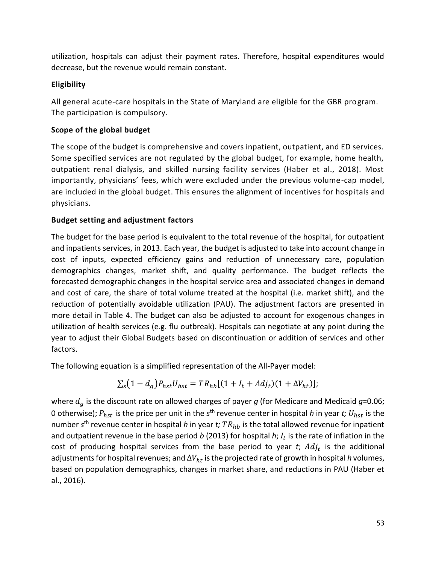utilization, hospitals can adjust their payment rates. Therefore, hospital expenditures would decrease, but the revenue would remain constant.

#### **Eligibility**

All general acute-care hospitals in the State of Maryland are eligible for the GBR program. The participation is compulsory.

#### **Scope of the global budget**

The scope of the budget is comprehensive and covers inpatient, outpatient, and ED services. Some specified services are not regulated by the global budget, for example, home health, outpatient renal dialysis, and skilled nursing facility services (Haber et al., 2018). Most importantly, physicians' fees, which were excluded under the previous volume-cap model, are included in the global budget. This ensures the alignment of incentives for hospitals and physicians.

#### **Budget setting and adjustment factors**

The budget for the base period is equivalent to the total revenue of the hospital, for outpatient and inpatients services, in 2013. Each year, the budget is adjusted to take into account change in cost of inputs, expected efficiency gains and reduction of unnecessary care, population demographics changes, market shift, and quality performance. The budget reflects the forecasted demographic changes in the hospital service area and associated changes in demand and cost of care, the share of total volume treated at the hospital (i.e. market shift), and the reduction of potentially avoidable utilization (PAU). The adjustment factors are presented in more detail in [Table 4.](#page-26-1) The budget can also be adjusted to account for exogenous changes in utilization of health services (e.g. flu outbreak). Hospitals can negotiate at any point during the year to adjust their Global Budgets based on discontinuation or addition of services and other factors.

The following equation is a simplified representation of the All-Payer model:

$$
\Sigma_{s}(1-d_{g})P_{hst}U_{hst} = TR_{hb}[(1+I_{t}+Adj_{t})(1+\Delta V_{ht})];
$$

where  $d_g$  is the discount rate on allowed charges of payer  $g$  (for Medicare and Medicaid  $g$ =0.06; 0 otherwise);  $P_{hst}$  is the price per unit in the s<sup>th</sup> revenue center in hospital *h* in year *t;*  $U_{hst}$  is the number *s*<sup>th</sup> revenue center in hospital *h* in year *t; TR<sub>hb</sub>* is the total allowed revenue for inpatient and outpatient revenue in the base period *b* (2013) for hospital *h*;  $I_t$  is the rate of inflation in the cost of producing hospital services from the base period to year  $t$ ;  $Adj<sub>t</sub>$  is the additional adjustments for hospital revenues; and  $\Delta V_{ht}$  is the projected rate of growth in hospital  $h$  volumes, based on population demographics, changes in market share, and reductions in PAU (Haber et al., 2016).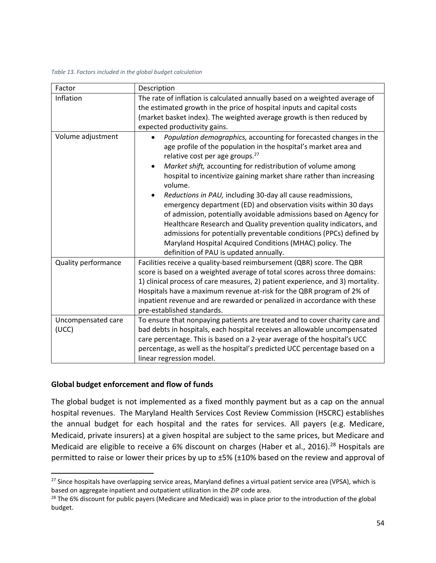#### *Table 13. Factors included in the global budget calculation*

| Factor                      | Description                                                                                                                                                                                                                                                                                                                                                                                                                                                                                                                                                                                                                                                                                                                                                                                     |
|-----------------------------|-------------------------------------------------------------------------------------------------------------------------------------------------------------------------------------------------------------------------------------------------------------------------------------------------------------------------------------------------------------------------------------------------------------------------------------------------------------------------------------------------------------------------------------------------------------------------------------------------------------------------------------------------------------------------------------------------------------------------------------------------------------------------------------------------|
| Inflation                   | The rate of inflation is calculated annually based on a weighted average of<br>the estimated growth in the price of hospital inputs and capital costs<br>(market basket index). The weighted average growth is then reduced by<br>expected productivity gains.                                                                                                                                                                                                                                                                                                                                                                                                                                                                                                                                  |
| Volume adjustment           | Population demographics, accounting for forecasted changes in the<br>age profile of the population in the hospital's market area and<br>relative cost per age groups. <sup>27</sup><br>Market shift, accounting for redistribution of volume among<br>hospital to incentivize gaining market share rather than increasing<br>volume.<br>Reductions in PAU, including 30-day all cause readmissions,<br>emergency department (ED) and observation visits within 30 days<br>of admission, potentially avoidable admissions based on Agency for<br>Healthcare Research and Quality prevention quality indicators, and<br>admissions for potentially preventable conditions (PPCs) defined by<br>Maryland Hospital Acquired Conditions (MHAC) policy. The<br>definition of PAU is updated annually. |
| Quality performance         | Facilities receive a quality-based reimbursement (QBR) score. The QBR<br>score is based on a weighted average of total scores across three domains:<br>1) clinical process of care measures, 2) patient experience, and 3) mortality.<br>Hospitals have a maximum revenue at-risk for the QBR program of 2% of<br>inpatient revenue and are rewarded or penalized in accordance with these<br>pre-established standards.                                                                                                                                                                                                                                                                                                                                                                        |
| Uncompensated care<br>(UCC) | To ensure that nonpaying patients are treated and to cover charity care and<br>bad debts in hospitals, each hospital receives an allowable uncompensated<br>care percentage. This is based on a 2-year average of the hospital's UCC<br>percentage, as well as the hospital's predicted UCC percentage based on a<br>linear regression model.                                                                                                                                                                                                                                                                                                                                                                                                                                                   |

#### **Global budget enforcement and flow of funds**

l

The global budget is not implemented as a fixed monthly payment but as a cap on the annual hospital revenues. The Maryland Health Services Cost Review Commission (HSCRC) establishes the annual budget for each hospital and the rates for services. All payers (e.g. Medicare, Medicaid, private insurers) at a given hospital are subject to the same prices, but Medicare and Medicaid are eligible to receive a 6% discount on charges (Haber et al., 2016).<sup>28</sup> Hospitals are permitted to raise or lower their prices by up to ±5% (±10% based on the review and approval of

<sup>&</sup>lt;sup>27</sup> Since hospitals have overlapping service areas, Maryland defines a virtual patient service area (VPSA), which is based on aggregate inpatient and outpatient utilization in the ZIP code area.

 $28$  The 6% discount for public payers (Medicare and Medicaid) was in place prior to the introduction of the global budget.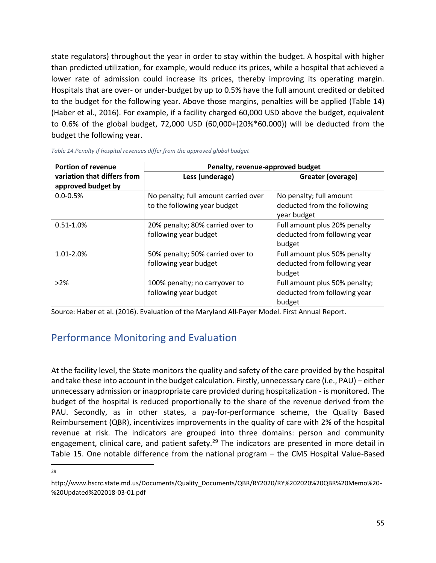state regulators) throughout the year in order to stay within the budget. A hospital with higher than predicted utilization, for example, would reduce its prices, while a hospital that achieved a lower rate of admission could increase its prices, thereby improving its operating margin. Hospitals that are over- or under-budget by up to 0.5% have the full amount credited or debited to the budget for the following year. Above those margins, penalties will be applied [\(Table 14\)](#page-54-0) (Haber et al., 2016). For example, if a facility charged 60,000 USD above the budget, equivalent to 0.6% of the global budget, 72,000 USD (60,000+(20%\*60.000)) will be deducted from the budget the following year.

| <b>Portion of revenue</b>                         | Penalty, revenue-approved budget     |                               |  |  |  |  |
|---------------------------------------------------|--------------------------------------|-------------------------------|--|--|--|--|
| variation that differs from<br>approved budget by | Less (underage)                      | Greater (overage)             |  |  |  |  |
|                                                   |                                      |                               |  |  |  |  |
| $0.0 - 0.5%$                                      | No penalty; full amount carried over | No penalty; full amount       |  |  |  |  |
|                                                   | to the following year budget         | deducted from the following   |  |  |  |  |
|                                                   |                                      | year budget                   |  |  |  |  |
| $0.51 - 1.0%$                                     | 20% penalty; 80% carried over to     | Full amount plus 20% penalty  |  |  |  |  |
|                                                   | following year budget                | deducted from following year  |  |  |  |  |
|                                                   |                                      | budget                        |  |  |  |  |
| 1.01-2.0%                                         | 50% penalty; 50% carried over to     | Full amount plus 50% penalty  |  |  |  |  |
|                                                   | following year budget                | deducted from following year  |  |  |  |  |
|                                                   |                                      | budget                        |  |  |  |  |
| >2%                                               | 100% penalty; no carryover to        | Full amount plus 50% penalty; |  |  |  |  |
|                                                   | following year budget                | deducted from following year  |  |  |  |  |
|                                                   |                                      | budget                        |  |  |  |  |

<span id="page-54-0"></span>

| Table 14. Penalty if hospital revenues differ from the approved global budget |  |  |
|-------------------------------------------------------------------------------|--|--|
|-------------------------------------------------------------------------------|--|--|

Source: Haber et al. (2016). Evaluation of the Maryland All-Payer Model. First Annual Report.

### Performance Monitoring and Evaluation

At the facility level, the State monitors the quality and safety of the care provided by the hospital and take these into account in the budget calculation. Firstly, unnecessary care (i.e., PAU) – either unnecessary admission or inappropriate care provided during hospitalization - is monitored. The budget of the hospital is reduced proportionally to the share of the revenue derived from the PAU. Secondly, as in other states, a pay-for-performance scheme, the Quality Based Reimbursement (QBR), incentivizes improvements in the quality of care with 2% of the hospital revenue at risk. The indicators are grouped into three domains: person and community engagement, clinical care, and patient safety.<sup>29</sup> The indicators are presented in more detail in [Table 15.](#page-55-0) One notable difference from the national program – the CMS Hospital Value-Based

 $\overline{\phantom{a}}$ 29

http://www.hscrc.state.md.us/Documents/Quality\_Documents/QBR/RY2020/RY%202020%20QBR%20Memo%20- %20Updated%202018-03-01.pdf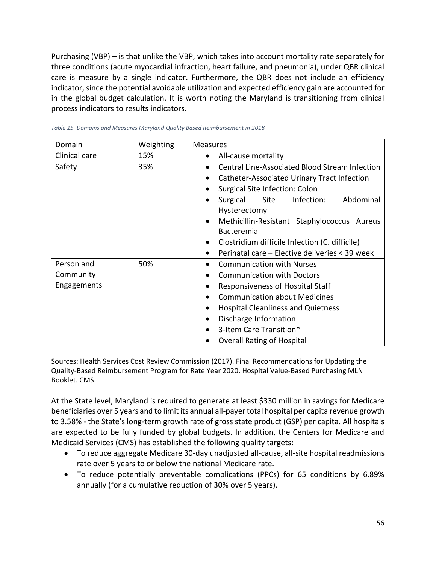Purchasing (VBP) – is that unlike the VBP, which takes into account mortality rate separately for three conditions (acute myocardial infraction, heart failure, and pneumonia), under QBR clinical care is measure by a single indicator. Furthermore, the QBR does not include an efficiency indicator, since the potential avoidable utilization and expected efficiency gain are accounted for in the global budget calculation. It is worth noting the Maryland is transitioning from clinical process indicators to results indicators.

| Domain        | Weighting | <b>Measures</b>                                             |  |  |  |  |  |
|---------------|-----------|-------------------------------------------------------------|--|--|--|--|--|
| Clinical care | 15%       | All-cause mortality<br>$\bullet$                            |  |  |  |  |  |
| Safety        | 35%       | <b>Central Line-Associated Blood Stream Infection</b>       |  |  |  |  |  |
|               |           | Catheter-Associated Urinary Tract Infection<br>$\bullet$    |  |  |  |  |  |
|               |           | Surgical Site Infection: Colon                              |  |  |  |  |  |
|               |           | Abdominal<br>Infection:<br>Surgical<br>Site<br>$\bullet$    |  |  |  |  |  |
|               |           | Hysterectomy                                                |  |  |  |  |  |
|               |           | Methicillin-Resistant Staphylococcus Aureus<br>$\bullet$    |  |  |  |  |  |
|               |           | Bacteremia                                                  |  |  |  |  |  |
|               |           | Clostridium difficile Infection (C. difficile)<br>$\bullet$ |  |  |  |  |  |
|               |           | Perinatal care - Elective deliveries < 39 week              |  |  |  |  |  |
| Person and    | 50%       | <b>Communication with Nurses</b>                            |  |  |  |  |  |
| Community     |           | <b>Communication with Doctors</b>                           |  |  |  |  |  |
| Engagements   |           | Responsiveness of Hospital Staff                            |  |  |  |  |  |
|               |           | <b>Communication about Medicines</b>                        |  |  |  |  |  |
|               |           | <b>Hospital Cleanliness and Quietness</b>                   |  |  |  |  |  |
|               |           | Discharge Information<br>$\bullet$                          |  |  |  |  |  |
|               |           | 3-Item Care Transition*                                     |  |  |  |  |  |
|               |           | <b>Overall Rating of Hospital</b>                           |  |  |  |  |  |

<span id="page-55-0"></span>

| Table 15. Domains and Measures Maryland Quality Based Reimbursement in 2018 |  |
|-----------------------------------------------------------------------------|--|
|-----------------------------------------------------------------------------|--|

Sources: Health Services Cost Review Commission (2017). Final Recommendations for Updating the Quality-Based Reimbursement Program for Rate Year 2020. Hospital Value-Based Purchasing MLN Booklet. CMS.

At the State level, Maryland is required to generate at least \$330 million in savings for Medicare beneficiaries over 5 years and to limit its annual all-payer total hospital per capita revenue growth to 3.58% - the State's long-term growth rate of gross state product (GSP) per capita. All hospitals are expected to be fully funded by global budgets. In addition, the Centers for Medicare and Medicaid Services (CMS) has established the following quality targets:

- To reduce aggregate Medicare 30-day unadjusted all-cause, all-site hospital readmissions rate over 5 years to or below the national Medicare rate.
- To reduce potentially preventable complications (PPCs) for 65 conditions by 6.89% annually (for a cumulative reduction of 30% over 5 years).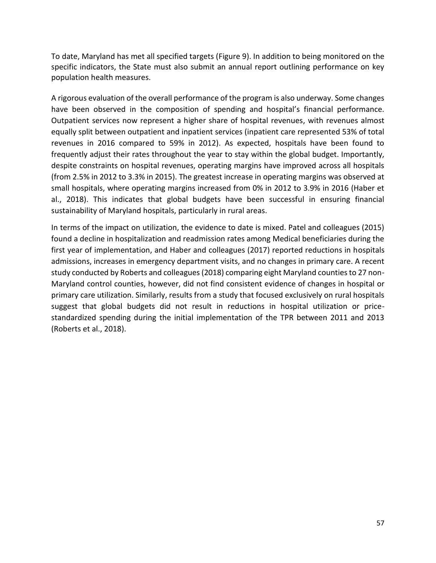To date, Maryland has met all specified targets [\(Figure 9\)](#page-57-0). In addition to being monitored on the specific indicators, the State must also submit an annual report outlining performance on key population health measures.

A rigorous evaluation of the overall performance of the program is also underway. Some changes have been observed in the composition of spending and hospital's financial performance. Outpatient services now represent a higher share of hospital revenues, with revenues almost equally split between outpatient and inpatient services (inpatient care represented 53% of total revenues in 2016 compared to 59% in 2012). As expected, hospitals have been found to frequently adjust their rates throughout the year to stay within the global budget. Importantly, despite constraints on hospital revenues, operating margins have improved across all hospitals (from 2.5% in 2012 to 3.3% in 2015). The greatest increase in operating margins was observed at small hospitals, where operating margins increased from 0% in 2012 to 3.9% in 2016 (Haber et al., 2018). This indicates that global budgets have been successful in ensuring financial sustainability of Maryland hospitals, particularly in rural areas.

In terms of the impact on utilization, the evidence to date is mixed. Patel and colleagues (2015) found a decline in hospitalization and readmission rates among Medical beneficiaries during the first year of implementation, and Haber and colleagues (2017) reported reductions in hospitals admissions, increases in emergency department visits, and no changes in primary care. A recent study conducted by Roberts and colleagues (2018) comparing eight Maryland counties to 27 non-Maryland control counties, however, did not find consistent evidence of changes in hospital or primary care utilization. Similarly, results from a study that focused exclusively on rural hospitals suggest that global budgets did not result in reductions in hospital utilization or pricestandardized spending during the initial implementation of the TPR between 2011 and 2013 (Roberts et al., 2018).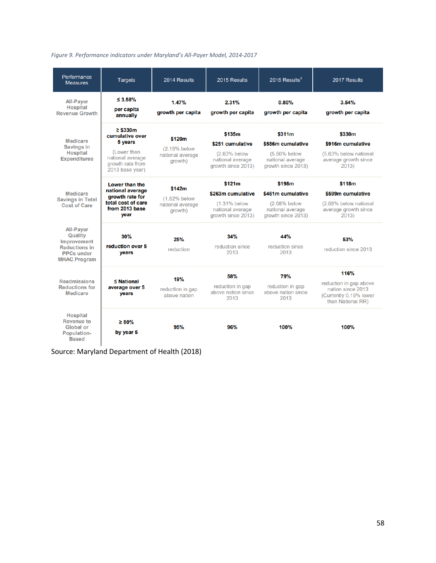<span id="page-57-0"></span>

| Performance<br><b>Measures</b>                                                                                 | <b>Targets</b>                                                                                                        | 2014 Results                                          | 2015 Results                                                                          | 2016 Results <sup>1</sup>                                                             | 2017 Results                                                                                       |
|----------------------------------------------------------------------------------------------------------------|-----------------------------------------------------------------------------------------------------------------------|-------------------------------------------------------|---------------------------------------------------------------------------------------|---------------------------------------------------------------------------------------|----------------------------------------------------------------------------------------------------|
| <b>All-Payer</b><br><b>Hospital</b><br><b>Revenue Growth</b>                                                   | $\leq 3.58\%$<br>per capita<br>annually                                                                               | 1.47%<br>growth per capita                            | 2.31%<br>growth per capita                                                            | 0.80%<br>growth per capita                                                            | 3.54%<br>growth per capita                                                                         |
| <b>Medicare</b><br><b>Savings in</b><br><b>Hospital</b><br><b>Expenditures</b>                                 | $\geq$ \$330m<br>cumulative over<br>5 years<br>(Lower than<br>national average<br>growth rate from<br>2013 base year) | \$120m<br>(2.15% below<br>national average<br>growth) | \$135m<br>\$251 cumulative<br>(2.63% below<br>national average<br>arowth since 2013)  | \$311m<br>\$586m cumulative<br>(5.50% below<br>national average<br>arowth since 2013) | \$330m<br>\$916m cumulative<br>(5.63% below national<br>average growth since<br>2013)              |
| Medicare<br><b>Savings in Total</b><br><b>Cost of Care</b>                                                     | Lower than the<br>national average<br>growth rate for<br>total cost of care<br>from 2013 base<br>vear                 | \$142m<br>(1.62% below<br>national average<br>arowth) | \$121m<br>\$263m cumulative<br>(1.31% below<br>national average<br>growth since 2013) | \$198m<br>\$461m cumulative<br>(2.08% below<br>national average<br>growth since 2013) | \$118m<br>\$599m cumulative<br>(2.08% below national<br>average growth since<br>2013)              |
| <b>All-Payer</b><br>Quality<br>Improvement<br><b>Reductions in</b><br><b>PPCs under</b><br><b>MHAC Program</b> | 30%<br>reduction over 5<br>years                                                                                      | 25%<br>reduction                                      | 34%<br>reduction since<br>2013                                                        | 44%<br>reduction since<br>2013                                                        | 53%<br>reduction since 2013                                                                        |
| <b>Readmissions</b><br><b>Reductions for</b><br><b>Medicare</b>                                                | $\leq$ National<br>average over 5<br>years                                                                            | 19%<br>reduction in gap<br>above nation               | 58%<br>reduction in gap<br>above nation since<br>2013                                 | <b>79%</b><br>reduction in gap<br>above nation since<br>2013                          | 116%<br>reduction in gap above<br>nation since 2013<br>(Currently 0.19% lower<br>than National RR) |
| <b>Hospital</b><br><b>Revenue to</b><br>Global or<br>Population-<br><b>Based</b>                               | $\geq 80\%$<br>by year 5                                                                                              | 95%                                                   | 96%                                                                                   | <b>100%</b>                                                                           | 100%                                                                                               |

Source: Maryland Department of Health (2018)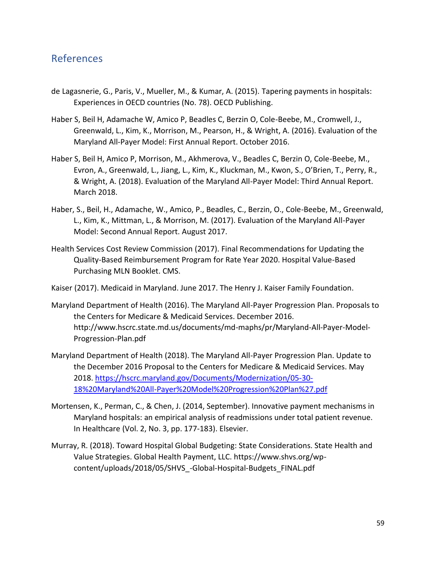#### **References**

- de Lagasnerie, G., Paris, V., Mueller, M., & Kumar, A. (2015). Tapering payments in hospitals: Experiences in OECD countries (No. 78). OECD Publishing.
- Haber S, Beil H, Adamache W, Amico P, Beadles C, Berzin O, Cole-Beebe, M., Cromwell, J., Greenwald, L., Kim, K., Morrison, M., Pearson, H., & Wright, A. (2016). Evaluation of the Maryland All-Payer Model: First Annual Report. October 2016.
- Haber S, Beil H, Amico P, Morrison, M., Akhmerova, V., Beadles C, Berzin O, Cole-Beebe, M., Evron, A., Greenwald, L., Jiang, L., Kim, K., Kluckman, M., Kwon, S., O'Brien, T., Perry, R., & Wright, A. (2018). Evaluation of the Maryland All-Payer Model: Third Annual Report. March 2018.
- Haber, S., Beil, H., Adamache, W., Amico, P., Beadles, C., Berzin, O., Cole-Beebe, M., Greenwald, L., Kim, K., Mittman, L., & Morrison, M. (2017). Evaluation of the Maryland All-Payer Model: Second Annual Report. August 2017.
- Health Services Cost Review Commission (2017). Final Recommendations for Updating the Quality-Based Reimbursement Program for Rate Year 2020. Hospital Value-Based Purchasing MLN Booklet. CMS.
- Kaiser (2017). Medicaid in Maryland. June 2017. The Henry J. Kaiser Family Foundation.
- Maryland Department of Health (2016). The Maryland All-Payer Progression Plan. Proposals to the Centers for Medicare & Medicaid Services. December 2016. http://www.hscrc.state.md.us/documents/md-maphs/pr/Maryland-All-Payer-Model-Progression-Plan.pdf
- Maryland Department of Health (2018). The Maryland All-Payer Progression Plan. Update to the December 2016 Proposal to the Centers for Medicare & Medicaid Services. May 2018[. https://hscrc.maryland.gov/Documents/Modernization/05-30-](https://hscrc.maryland.gov/Documents/Modernization/05-30-18%20Maryland%20All-Payer%20Model%20Progression%20Plan%27.pdf) [18%20Maryland%20All-Payer%20Model%20Progression%20Plan%27.pdf](https://hscrc.maryland.gov/Documents/Modernization/05-30-18%20Maryland%20All-Payer%20Model%20Progression%20Plan%27.pdf)
- Mortensen, K., Perman, C., & Chen, J. (2014, September). Innovative payment mechanisms in Maryland hospitals: an empirical analysis of readmissions under total patient revenue. In Healthcare (Vol. 2, No. 3, pp. 177-183). Elsevier.
- Murray, R. (2018). Toward Hospital Global Budgeting: State Considerations. State Health and Value Strategies. Global Health Payment, LLC. https://www.shvs.org/wpcontent/uploads/2018/05/SHVS\_-Global-Hospital-Budgets\_FINAL.pdf